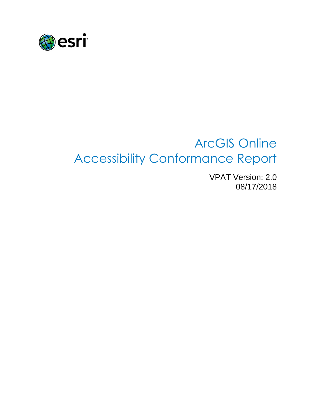

# ArcGIS Online Accessibility Conformance Report

VPAT Version: 2.0 08/17/2018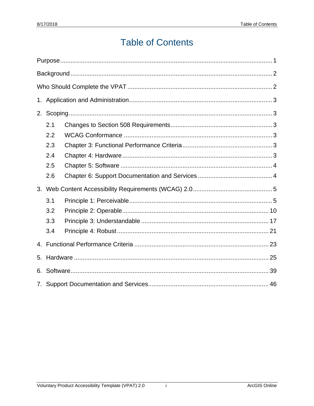# **Table of Contents**

| 2. |     |  |  |
|----|-----|--|--|
|    | 2.1 |  |  |
|    | 2.2 |  |  |
|    | 2.3 |  |  |
|    | 2.4 |  |  |
|    | 2.5 |  |  |
|    | 2.6 |  |  |
| 3. |     |  |  |
|    | 3.1 |  |  |
|    | 3.2 |  |  |
|    | 3.3 |  |  |
|    | 3.4 |  |  |
|    |     |  |  |
| 5. |     |  |  |
| 6. |     |  |  |
| 7. |     |  |  |

 $\mathbf{i}$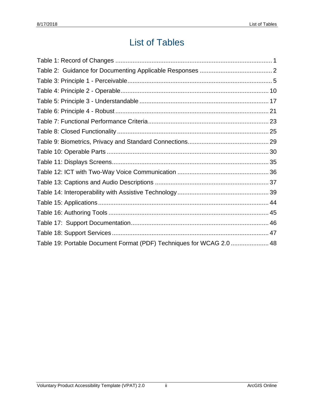# List of Tables

| Table 19: Portable Document Format (PDF) Techniques for WCAG 2.0  48 |  |
|----------------------------------------------------------------------|--|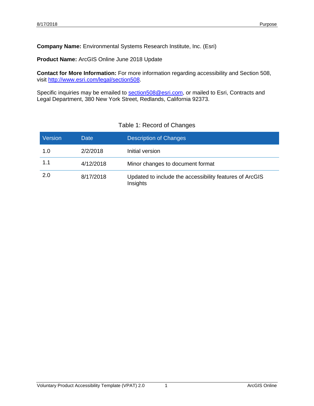**Company Name:** Environmental Systems Research Institute, Inc. (Esri)

**Product Name:** ArcGIS Online June 2018 Update

**Contact for More Information:** For more information regarding accessibility and Section 508, visit [http://www.esri.com/legal/section508.](http://www.esri.com/legal/section508)

Specific inquiries may be emailed to [section508@esri.com,](mailto:section508@esri.com) or mailed to Esri, Contracts and Legal Department, 380 New York Street, Redlands, California 92373.

<span id="page-3-0"></span>

| Version | Date      | <b>Description of Changes</b>                                       |
|---------|-----------|---------------------------------------------------------------------|
| 1.0     | 2/2/2018  | Initial version                                                     |
| 1.1     | 4/12/2018 | Minor changes to document format                                    |
| 2.0     | 8/17/2018 | Updated to include the accessibility features of ArcGIS<br>Insights |

#### Table 1: Record of Changes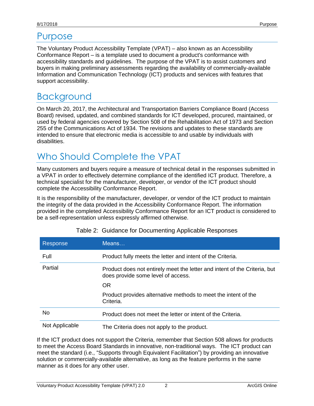## Purpose

The Voluntary Product Accessibility Template (VPAT) – also known as an Accessibility Conformance Report – is a template used to document a product's conformance with accessibility standards and guidelines. The purpose of the VPAT is to assist customers and buyers in making preliminary assessments regarding the availability of commercially-available Information and Communication Technology (ICT) products and services with features that support accessibility.

# <span id="page-4-0"></span>**Background**

On March 20, 2017, the Architectural and Transportation Barriers Compliance Board (Access Board) revised, updated, and combined standards for ICT developed, procured, maintained, or used by federal agencies covered by Section 508 of the Rehabilitation Act of 1973 and Section 255 of the Communications Act of 1934. The revisions and updates to these standards are intended to ensure that electronic media is accessible to and usable by individuals with disabilities.

# <span id="page-4-1"></span>Who Should Complete the VPAT

Many customers and buyers require a measure of technical detail in the responses submitted in a VPAT in order to effectively determine compliance of the identified ICT product. Therefore, a technical specialist for the manufacturer, developer, or vendor of the ICT product should complete the Accessibility Conformance Report.

It is the responsibility of the manufacturer, developer, or vendor of the ICT product to maintain the integrity of the data provided in the Accessibility Conformance Report. The information provided in the completed Accessibility Conformance Report for an ICT product is considered to be a self-representation unless expressly affirmed otherwise.

| Response       | MeanS                                                                                                           |
|----------------|-----------------------------------------------------------------------------------------------------------------|
| Full           | Product fully meets the letter and intent of the Criteria.                                                      |
| Partial        | Product does not entirely meet the letter and intent of the Criteria, but<br>does provide some level of access. |
|                | <b>OR</b>                                                                                                       |
|                | Product provides alternative methods to meet the intent of the<br>Criteria.                                     |
| No             | Product does not meet the letter or intent of the Criteria.                                                     |
| Not Applicable | The Criteria does not apply to the product.                                                                     |

|  |  | Table 2: Guidance for Documenting Applicable Responses |  |
|--|--|--------------------------------------------------------|--|
|--|--|--------------------------------------------------------|--|

If the ICT product does not support the Criteria, remember that Section 508 allows for products to meet the Access Board Standards in innovative, non-traditional ways. The ICT product can meet the standard (i.e., "Supports through Equivalent Facilitation") by providing an innovative solution or commercially-available alternative, as long as the feature performs in the same manner as it does for any other user.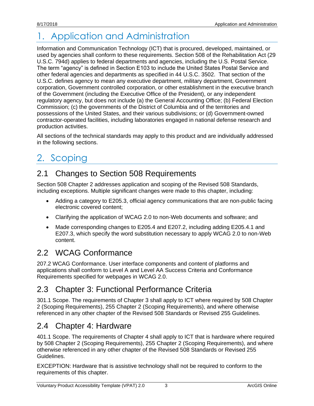# <span id="page-5-0"></span>1. Application and Administration

Information and Communication Technology (ICT) that is procured, developed, maintained, or used by agencies shall conform to these requirements. Section 508 of the Rehabilitation Act (29 U.S.C. 794d) applies to federal departments and agencies, including the U.S. Postal Service. The term "agency" is defined in Section E103 to include the United States Postal Service and other federal agencies and departments as specified in 44 U.S.C. 3502. That section of the U.S.C. defines agency to mean any executive department, military department, Government corporation, Government controlled corporation, or other establishment in the executive branch of the Government (including the Executive Office of the President), or any independent regulatory agency, but does not include (a) the General Accounting Office; (b) Federal Election Commission; (c) the governments of the District of Columbia and of the territories and possessions of the United States, and their various subdivisions; or (d) Government-owned contractor-operated facilities, including laboratories engaged in national defense research and production activities.

All sections of the technical standards may apply to this product and are individually addressed in the following sections.

# <span id="page-5-1"></span>2. Scoping

### <span id="page-5-2"></span>2.1 Changes to Section 508 Requirements

Section 508 Chapter 2 addresses application and scoping of the Revised 508 Standards, including exceptions. Multiple significant changes were made to this chapter, including:

- Adding a category to E205.3, official agency communications that are non-public facing electronic covered content;
- Clarifying the application of WCAG 2.0 to non-Web documents and software; and
- Made corresponding changes to E205.4 and E207.2, including adding E205.4.1 and E207.3, which specify the word substitution necessary to apply WCAG 2.0 to non-Web content.

### <span id="page-5-3"></span>2.2 WCAG Conformance

207.2 WCAG Conformance. User interface components and content of platforms and applications shall conform to Level A and Level AA Success Criteria and Conformance Requirements specified for webpages in WCAG 2.0.

### <span id="page-5-4"></span>2.3 Chapter 3: Functional Performance Criteria

301.1 Scope. The requirements of Chapter 3 shall apply to ICT where required by 508 Chapter 2 (Scoping Requirements), 255 Chapter 2 (Scoping Requirements), and where otherwise referenced in any other chapter of the Revised 508 Standards or Revised 255 Guidelines.

#### <span id="page-5-5"></span>2.4 Chapter 4: Hardware

401.1 Scope. The requirements of Chapter 4 shall apply to ICT that is hardware where required by 508 Chapter 2 (Scoping Requirements), 255 Chapter 2 (Scoping Requirements), and where otherwise referenced in any other chapter of the Revised 508 Standards or Revised 255 Guidelines.

EXCEPTION: Hardware that is assistive technology shall not be required to conform to the requirements of this chapter.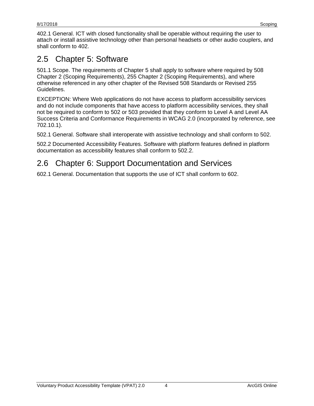402.1 General. ICT with closed functionality shall be operable without requiring the user to attach or install assistive technology other than personal headsets or other audio couplers, and shall conform to 402.

## <span id="page-6-0"></span>2.5 Chapter 5: Software

501.1 Scope. The requirements of Chapter 5 shall apply to software where required by 508 Chapter 2 (Scoping Requirements), 255 Chapter 2 (Scoping Requirements), and where otherwise referenced in any other chapter of the Revised 508 Standards or Revised 255 Guidelines.

EXCEPTION: Where Web applications do not have access to platform accessibility services and do not include components that have access to platform accessibility services, they shall not be required to conform to 502 or 503 provided that they conform to Level A and Level AA Success Criteria and Conformance Requirements in WCAG 2.0 (incorporated by reference, see 702.10.1).

502.1 General. Software shall interoperate with assistive technology and shall conform to 502.

502.2 Documented Accessibility Features. Software with platform features defined in platform documentation as accessibility features shall conform to 502.2.

## <span id="page-6-1"></span>2.6 Chapter 6: Support Documentation and Services

602.1 General. Documentation that supports the use of ICT shall conform to 602.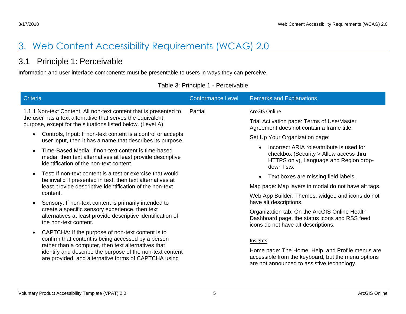# 3. Web Content Accessibility Requirements (WCAG) 2.0

#### 3.1 Principle 1: Perceivable

Information and user interface components must be presentable to users in ways they can perceive.

|  | Table 3: Principle 1 - Perceivable |  |  |
|--|------------------------------------|--|--|
|--|------------------------------------|--|--|

<span id="page-7-1"></span><span id="page-7-0"></span>

| <b>Criteria</b>                                                                                                                                                                                                                                                                                                                                                                                                                                                                                                                                                                                                                                                                                                            | <b>Conformance Level</b> | <b>Remarks and Explanations</b>                                                                                                                                                                                                                                                                                                                                                           |
|----------------------------------------------------------------------------------------------------------------------------------------------------------------------------------------------------------------------------------------------------------------------------------------------------------------------------------------------------------------------------------------------------------------------------------------------------------------------------------------------------------------------------------------------------------------------------------------------------------------------------------------------------------------------------------------------------------------------------|--------------------------|-------------------------------------------------------------------------------------------------------------------------------------------------------------------------------------------------------------------------------------------------------------------------------------------------------------------------------------------------------------------------------------------|
| 1.1.1 Non-text Content: All non-text content that is presented to<br>the user has a text alternative that serves the equivalent<br>purpose, except for the situations listed below. (Level A)<br>Controls, Input: If non-text content is a control or accepts<br>$\bullet$<br>user input, then it has a name that describes its purpose.<br>Time-Based Media: If non-text content is time-based<br>$\bullet$<br>media, then text alternatives at least provide descriptive<br>identification of the non-text content.<br>Test: If non-text content is a test or exercise that would<br>$\bullet$<br>be invalid if presented in text, then text alternatives at<br>least provide descriptive identification of the non-text | Partial                  | ArcGIS Online<br>Trial Activation page: Terms of Use/Master<br>Agreement does not contain a frame title.<br>Set Up Your Organization page:<br>Incorrect ARIA role/attribute is used for<br>checkbox (Security > Allow access thru<br>HTTPS only), Language and Region drop-<br>down lists.<br>Text boxes are missing field labels.<br>Map page: Map layers in modal do not have alt tags. |
| content.<br>Sensory: If non-text content is primarily intended to<br>$\bullet$<br>create a specific sensory experience, then text<br>alternatives at least provide descriptive identification of<br>the non-text content.                                                                                                                                                                                                                                                                                                                                                                                                                                                                                                  |                          | Web App Builder: Themes, widget, and icons do not<br>have alt descriptions.<br>Organization tab: On the ArcGIS Online Health<br>Dashboard page, the status icons and RSS feed<br>icons do not have alt descriptions.                                                                                                                                                                      |
| CAPTCHA: If the purpose of non-text content is to<br>$\bullet$<br>confirm that content is being accessed by a person<br>rather than a computer, then text alternatives that<br>identify and describe the purpose of the non-text content<br>are provided, and alternative forms of CAPTCHA using                                                                                                                                                                                                                                                                                                                                                                                                                           |                          | Insights<br>Home page: The Home, Help, and Profile menus are<br>accessible from the keyboard, but the menu options<br>are not announced to assistive technology.                                                                                                                                                                                                                          |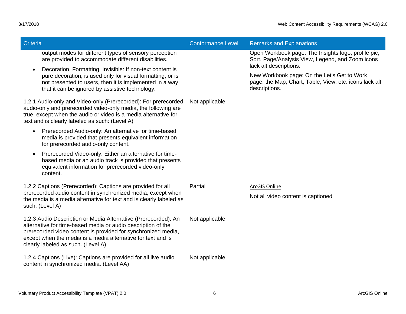| Criteria                                                                                                                                                                                                                                                                                              | <b>Conformance Level</b> | <b>Remarks and Explanations</b>                                                                                                   |  |
|-------------------------------------------------------------------------------------------------------------------------------------------------------------------------------------------------------------------------------------------------------------------------------------------------------|--------------------------|-----------------------------------------------------------------------------------------------------------------------------------|--|
| output modes for different types of sensory perception<br>are provided to accommodate different disabilities.                                                                                                                                                                                         |                          | Open Workbook page: The Insights logo, profile pic,<br>Sort, Page/Analysis View, Legend, and Zoom icons<br>lack alt descriptions. |  |
| Decoration, Formatting, Invisible: If non-text content is<br>pure decoration, is used only for visual formatting, or is<br>not presented to users, then it is implemented in a way<br>that it can be ignored by assistive technology.                                                                 |                          | New Workbook page: On the Let's Get to Work<br>page, the Map, Chart, Table, View, etc. icons lack alt<br>descriptions.            |  |
| 1.2.1 Audio-only and Video-only (Prerecorded): For prerecorded<br>audio-only and prerecorded video-only media, the following are<br>true, except when the audio or video is a media alternative for<br>text and is clearly labeled as such: (Level A)                                                 | Not applicable           |                                                                                                                                   |  |
| Prerecorded Audio-only: An alternative for time-based<br>$\bullet$<br>media is provided that presents equivalent information<br>for prerecorded audio-only content.                                                                                                                                   |                          |                                                                                                                                   |  |
| Prerecorded Video-only: Either an alternative for time-<br>based media or an audio track is provided that presents<br>equivalent information for prerecorded video-only<br>content.                                                                                                                   |                          |                                                                                                                                   |  |
| 1.2.2 Captions (Prerecorded): Captions are provided for all                                                                                                                                                                                                                                           | Partial                  | <b>ArcGIS Online</b>                                                                                                              |  |
| prerecorded audio content in synchronized media, except when<br>the media is a media alternative for text and is clearly labeled as<br>such. (Level A)                                                                                                                                                |                          | Not all video content is captioned                                                                                                |  |
| 1.2.3 Audio Description or Media Alternative (Prerecorded): An<br>alternative for time-based media or audio description of the<br>prerecorded video content is provided for synchronized media,<br>except when the media is a media alternative for text and is<br>clearly labeled as such. (Level A) | Not applicable           |                                                                                                                                   |  |
| 1.2.4 Captions (Live): Captions are provided for all live audio<br>content in synchronized media. (Level AA)                                                                                                                                                                                          | Not applicable           |                                                                                                                                   |  |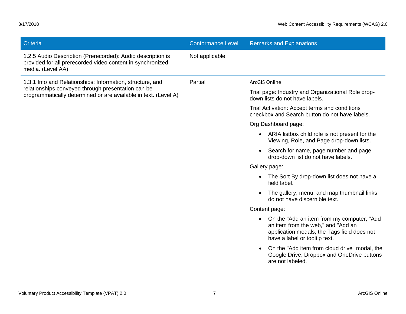| Criteria                                                                                                                                       | <b>Conformance Level</b> | <b>Remarks and Explanations</b>                                                                                                                                                |
|------------------------------------------------------------------------------------------------------------------------------------------------|--------------------------|--------------------------------------------------------------------------------------------------------------------------------------------------------------------------------|
| 1.2.5 Audio Description (Prerecorded): Audio description is<br>provided for all prerecorded video content in synchronized<br>media. (Level AA) | Not applicable           |                                                                                                                                                                                |
| 1.3.1 Info and Relationships: Information, structure, and                                                                                      | Partial                  | <b>ArcGIS Online</b>                                                                                                                                                           |
| relationships conveyed through presentation can be<br>programmatically determined or are available in text. (Level A)                          |                          | Trial page: Industry and Organizational Role drop-<br>down lists do not have labels.                                                                                           |
|                                                                                                                                                |                          | Trial Activation: Accept terms and conditions<br>checkbox and Search button do not have labels.                                                                                |
|                                                                                                                                                |                          | Org Dashboard page:                                                                                                                                                            |
|                                                                                                                                                |                          | ARIA listbox child role is not present for the<br>$\bullet$<br>Viewing, Role, and Page drop-down lists.                                                                        |
|                                                                                                                                                |                          | Search for name, page number and page<br>drop-down list do not have labels.                                                                                                    |
|                                                                                                                                                |                          | Gallery page:                                                                                                                                                                  |
|                                                                                                                                                |                          | The Sort By drop-down list does not have a<br>field label.                                                                                                                     |
|                                                                                                                                                |                          | The gallery, menu, and map thumbnail links<br>do not have discernible text.                                                                                                    |
|                                                                                                                                                |                          | Content page:                                                                                                                                                                  |
|                                                                                                                                                |                          | On the "Add an item from my computer, "Add"<br>$\bullet$<br>an item from the web," and "Add an<br>application modals, the Tags field does not<br>have a label or tooltip text. |
|                                                                                                                                                |                          | On the "Add item from cloud drive" modal, the<br>Google Drive, Dropbox and OneDrive buttons<br>are not labeled.                                                                |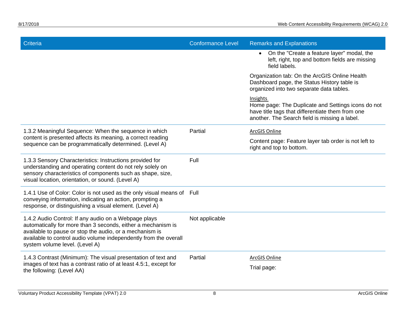| <b>Criteria</b>                                                                                                                                                                                                                                                                       | <b>Conformance Level</b> | <b>Remarks and Explanations</b>                                                                                                                                     |
|---------------------------------------------------------------------------------------------------------------------------------------------------------------------------------------------------------------------------------------------------------------------------------------|--------------------------|---------------------------------------------------------------------------------------------------------------------------------------------------------------------|
|                                                                                                                                                                                                                                                                                       |                          | On the "Create a feature layer" modal, the<br>left, right, top and bottom fields are missing<br>field labels.                                                       |
|                                                                                                                                                                                                                                                                                       |                          | Organization tab: On the ArcGIS Online Health<br>Dashboard page, the Status History table is<br>organized into two separate data tables.                            |
|                                                                                                                                                                                                                                                                                       |                          | Insights<br>Home page: The Duplicate and Settings icons do not<br>have title tags that differentiate them from one<br>another. The Search field is missing a label. |
| 1.3.2 Meaningful Sequence: When the sequence in which                                                                                                                                                                                                                                 | Partial                  | ArcGIS Online                                                                                                                                                       |
| content is presented affects its meaning, a correct reading<br>sequence can be programmatically determined. (Level A)                                                                                                                                                                 |                          | Content page: Feature layer tab order is not left to<br>right and top to bottom.                                                                                    |
| 1.3.3 Sensory Characteristics: Instructions provided for<br>understanding and operating content do not rely solely on<br>sensory characteristics of components such as shape, size,<br>visual location, orientation, or sound. (Level A)                                              | Full                     |                                                                                                                                                                     |
| 1.4.1 Use of Color: Color is not used as the only visual means of Full<br>conveying information, indicating an action, prompting a<br>response, or distinguishing a visual element. (Level A)                                                                                         |                          |                                                                                                                                                                     |
| 1.4.2 Audio Control: If any audio on a Webpage plays<br>automatically for more than 3 seconds, either a mechanism is<br>available to pause or stop the audio, or a mechanism is<br>available to control audio volume independently from the overall<br>system volume level. (Level A) | Not applicable           |                                                                                                                                                                     |
| 1.4.3 Contrast (Minimum): The visual presentation of text and<br>images of text has a contrast ratio of at least 4.5:1, except for<br>the following: (Level AA)                                                                                                                       | Partial                  | ArcGIS Online<br>Trial page:                                                                                                                                        |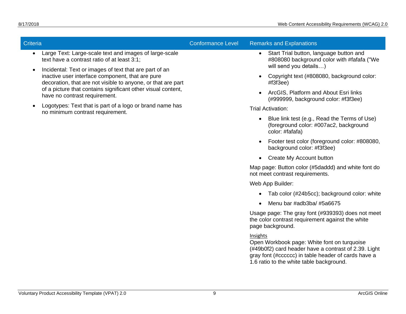| Criteria                                                                                                                                                                                | <b>Conformance Level</b> | <b>Remarks and Explanations</b>                                                                                                                                                                                    |
|-----------------------------------------------------------------------------------------------------------------------------------------------------------------------------------------|--------------------------|--------------------------------------------------------------------------------------------------------------------------------------------------------------------------------------------------------------------|
| Large Text: Large-scale text and images of large-scale<br>$\bullet$<br>text have a contrast ratio of at least 3:1;                                                                      |                          | Start Trial button, language button and<br>$\bullet$<br>#808080 background color with #fafafa ("We<br>will send you details)                                                                                       |
| Incidental: Text or images of text that are part of an<br>$\bullet$<br>inactive user interface component, that are pure<br>decoration, that are not visible to anyone, or that are part |                          | Copyright text (#808080, background color:<br>$\bullet$<br>#13f3ee)                                                                                                                                                |
| of a picture that contains significant other visual content,<br>have no contrast requirement.                                                                                           |                          | ArcGIS, Platform and About Esri links<br>(#999999, background color: #f3f3ee)                                                                                                                                      |
| Logotypes: Text that is part of a logo or brand name has<br>no minimum contrast requirement.                                                                                            |                          | <b>Trial Activation:</b>                                                                                                                                                                                           |
|                                                                                                                                                                                         |                          | Blue link test (e.g., Read the Terms of Use)<br>(foreground color: #007ac2, background<br>color: #fafafa)                                                                                                          |
|                                                                                                                                                                                         |                          | Footer test color (foreground color: #808080,<br>background color: #f3f3ee)                                                                                                                                        |
|                                                                                                                                                                                         |                          | Create My Account button<br>$\bullet$                                                                                                                                                                              |
|                                                                                                                                                                                         |                          | Map page: Button color (#5daddd) and white font do<br>not meet contrast requirements.                                                                                                                              |
|                                                                                                                                                                                         |                          | Web App Builder:                                                                                                                                                                                                   |
|                                                                                                                                                                                         |                          | Tab color (#24b5cc); background color: white                                                                                                                                                                       |
|                                                                                                                                                                                         |                          | Menu bar #adb3ba/ #5a6675                                                                                                                                                                                          |
|                                                                                                                                                                                         |                          | Usage page: The gray font (#939393) does not meet<br>the color contrast requirement against the white<br>page background.                                                                                          |
|                                                                                                                                                                                         |                          | Insights<br>Open Workbook page: White font on turquoise<br>(#49b0f2) card header have a contrast of 2.39. Light<br>gray font (#cccccc) in table header of cards have a<br>1.6 ratio to the white table background. |
|                                                                                                                                                                                         |                          |                                                                                                                                                                                                                    |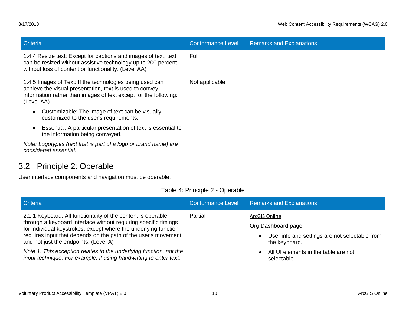| <b>Criteria</b>                                                                                                                                                                                       | <b>Conformance Level</b> | <b>Remarks and Explanations</b> |
|-------------------------------------------------------------------------------------------------------------------------------------------------------------------------------------------------------|--------------------------|---------------------------------|
| 1.4.4 Resize text: Except for captions and images of text, text<br>can be resized without assistive technology up to 200 percent<br>without loss of content or functionality. (Level AA)              | Full                     |                                 |
| 1.4.5 Images of Text: If the technologies being used can<br>achieve the visual presentation, text is used to convey<br>information rather than images of text except for the following:<br>(Level AA) | Not applicable           |                                 |
| Customizable: The image of text can be visually<br>$\bullet$<br>customized to the user's requirements;                                                                                                |                          |                                 |
| Essential: A particular presentation of text is essential to<br>the information being conveyed.                                                                                                       |                          |                                 |
| Note: Logotypes (text that is part of a logo or brand name) are<br>considered essential.                                                                                                              |                          |                                 |

## 3.2 Principle 2: Operable

User interface components and navigation must be operable.

|  |  | Table 4: Principle 2 - Operable |  |  |
|--|--|---------------------------------|--|--|
|--|--|---------------------------------|--|--|

<span id="page-12-0"></span>

| <b>Criteria</b>                                                                                                                                                                                                                                                                                                                                                                                                                                          | <b>Conformance Level</b> | <b>Remarks and Explanations</b>                                                                                                                                |
|----------------------------------------------------------------------------------------------------------------------------------------------------------------------------------------------------------------------------------------------------------------------------------------------------------------------------------------------------------------------------------------------------------------------------------------------------------|--------------------------|----------------------------------------------------------------------------------------------------------------------------------------------------------------|
| 2.1.1 Keyboard: All functionality of the content is operable<br>through a keyboard interface without requiring specific timings<br>for individual keystrokes, except where the underlying function<br>requires input that depends on the path of the user's movement<br>and not just the endpoints. (Level A)<br>Note 1: This exception relates to the underlying function, not the<br>input technique. For example, if using handwriting to enter text, | Partial                  | ArcGIS Online<br>Org Dashboard page:<br>User info and settings are not selectable from<br>the keyboard.<br>All UI elements in the table are not<br>selectable. |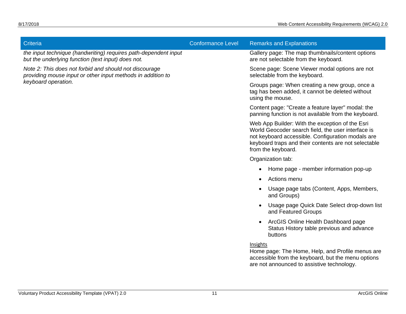| Criteria                                                                                                              | <b>Conformance Level</b> | <b>Remarks and Explanations</b>                                                                                                                                                                                                          |
|-----------------------------------------------------------------------------------------------------------------------|--------------------------|------------------------------------------------------------------------------------------------------------------------------------------------------------------------------------------------------------------------------------------|
| the input technique (handwriting) requires path-dependent input<br>but the underlying function (text input) does not. |                          | Gallery page: The map thumbnails/content options<br>are not selectable from the keyboard.                                                                                                                                                |
| Note 2: This does not forbid and should not discourage<br>providing mouse input or other input methods in addition to |                          | Scene page: Scene Viewer modal options are not<br>selectable from the keyboard.                                                                                                                                                          |
| keyboard operation.                                                                                                   |                          | Groups page: When creating a new group, once a<br>tag has been added, it cannot be deleted without<br>using the mouse.                                                                                                                   |
|                                                                                                                       |                          | Content page: "Create a feature layer" modal: the<br>panning function is not available from the keyboard.                                                                                                                                |
|                                                                                                                       |                          | Web App Builder: With the exception of the Esri<br>World Geocoder search field, the user interface is<br>not keyboard accessible. Configuration modals are<br>keyboard traps and their contents are not selectable<br>from the keyboard. |
|                                                                                                                       |                          | Organization tab:                                                                                                                                                                                                                        |
|                                                                                                                       |                          | Home page - member information pop-up<br>$\bullet$                                                                                                                                                                                       |
|                                                                                                                       |                          | Actions menu<br>$\bullet$                                                                                                                                                                                                                |
|                                                                                                                       |                          | Usage page tabs (Content, Apps, Members,<br>and Groups)                                                                                                                                                                                  |
|                                                                                                                       |                          | Usage page Quick Date Select drop-down list<br>and Featured Groups                                                                                                                                                                       |
|                                                                                                                       |                          | ArcGIS Online Health Dashboard page<br>Status History table previous and advance<br>buttons                                                                                                                                              |
|                                                                                                                       |                          | Insights<br>Home page: The Home, Help, and Profile menus are<br>accessible from the keyboard, but the menu options<br>are not announced to assistive technology.                                                                         |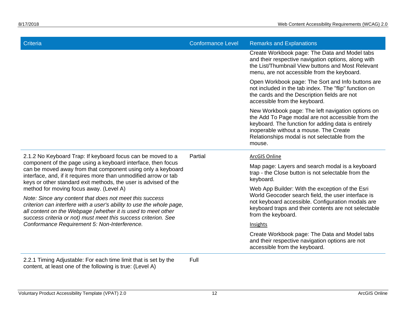| Criteria                                                                                                                                                                                                                                                                                                                                                                                                                                                                                                                                                                                                                                                                                          | <b>Conformance Level</b> | <b>Remarks and Explanations</b>                                                                                                                                                                                                                                    |
|---------------------------------------------------------------------------------------------------------------------------------------------------------------------------------------------------------------------------------------------------------------------------------------------------------------------------------------------------------------------------------------------------------------------------------------------------------------------------------------------------------------------------------------------------------------------------------------------------------------------------------------------------------------------------------------------------|--------------------------|--------------------------------------------------------------------------------------------------------------------------------------------------------------------------------------------------------------------------------------------------------------------|
|                                                                                                                                                                                                                                                                                                                                                                                                                                                                                                                                                                                                                                                                                                   |                          | Create Workbook page: The Data and Model tabs<br>and their respective navigation options, along with<br>the List/Thumbnail View buttons and Most Relevant<br>menu, are not accessible from the keyboard.                                                           |
|                                                                                                                                                                                                                                                                                                                                                                                                                                                                                                                                                                                                                                                                                                   |                          | Open Workbook page: The Sort and Info buttons are<br>not included in the tab index. The "flip" function on<br>the cards and the Description fields are not<br>accessible from the keyboard.                                                                        |
|                                                                                                                                                                                                                                                                                                                                                                                                                                                                                                                                                                                                                                                                                                   |                          | New Workbook page: The left navigation options on<br>the Add To Page modal are not accessible from the<br>keyboard. The function for adding data is entirely<br>inoperable without a mouse. The Create<br>Relationships modal is not selectable from the<br>mouse. |
| 2.1.2 No Keyboard Trap: If keyboard focus can be moved to a<br>component of the page using a keyboard interface, then focus<br>can be moved away from that component using only a keyboard<br>interface, and, if it requires more than unmodified arrow or tab<br>keys or other standard exit methods, the user is advised of the<br>method for moving focus away. (Level A)<br>Note: Since any content that does not meet this success<br>criterion can interfere with a user's ability to use the whole page,<br>all content on the Webpage (whether it is used to meet other<br>success criteria or not) must meet this success criterion. See<br>Conformance Requirement 5: Non-Interference. | Partial                  | ArcGIS Online                                                                                                                                                                                                                                                      |
|                                                                                                                                                                                                                                                                                                                                                                                                                                                                                                                                                                                                                                                                                                   |                          | Map page: Layers and search modal is a keyboard<br>trap - the Close button is not selectable from the<br>keyboard.                                                                                                                                                 |
|                                                                                                                                                                                                                                                                                                                                                                                                                                                                                                                                                                                                                                                                                                   |                          | Web App Builder: With the exception of the Esri<br>World Geocoder search field, the user interface is                                                                                                                                                              |
|                                                                                                                                                                                                                                                                                                                                                                                                                                                                                                                                                                                                                                                                                                   |                          | not keyboard accessible. Configuration modals are<br>keyboard traps and their contents are not selectable<br>from the keyboard.                                                                                                                                    |
|                                                                                                                                                                                                                                                                                                                                                                                                                                                                                                                                                                                                                                                                                                   |                          | Insights                                                                                                                                                                                                                                                           |
|                                                                                                                                                                                                                                                                                                                                                                                                                                                                                                                                                                                                                                                                                                   |                          | Create Workbook page: The Data and Model tabs<br>and their respective navigation options are not<br>accessible from the keyboard.                                                                                                                                  |
| 2.2.1 Timing Adjustable: For each time limit that is set by the<br>content, at least one of the following is true: (Level A)                                                                                                                                                                                                                                                                                                                                                                                                                                                                                                                                                                      | Full                     |                                                                                                                                                                                                                                                                    |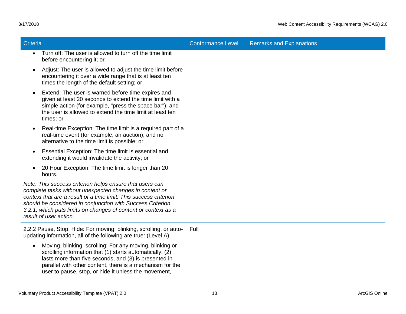| <b>Criteria</b>                                                                                                                                                                                                                                                                                                                                    | <b>Conformance Level</b> | <b>Remarks and Explanations</b> |
|----------------------------------------------------------------------------------------------------------------------------------------------------------------------------------------------------------------------------------------------------------------------------------------------------------------------------------------------------|--------------------------|---------------------------------|
| Turn off: The user is allowed to turn off the time limit<br>$\bullet$<br>before encountering it; or                                                                                                                                                                                                                                                |                          |                                 |
| Adjust: The user is allowed to adjust the time limit before<br>encountering it over a wide range that is at least ten<br>times the length of the default setting; or                                                                                                                                                                               |                          |                                 |
| Extend: The user is warned before time expires and<br>given at least 20 seconds to extend the time limit with a<br>simple action (for example, "press the space bar"), and<br>the user is allowed to extend the time limit at least ten<br>times; or                                                                                               |                          |                                 |
| Real-time Exception: The time limit is a required part of a<br>real-time event (for example, an auction), and no<br>alternative to the time limit is possible; or                                                                                                                                                                                  |                          |                                 |
| Essential Exception: The time limit is essential and<br>extending it would invalidate the activity; or                                                                                                                                                                                                                                             |                          |                                 |
| 20 Hour Exception: The time limit is longer than 20<br>hours.                                                                                                                                                                                                                                                                                      |                          |                                 |
| Note: This success criterion helps ensure that users can<br>complete tasks without unexpected changes in content or<br>context that are a result of a time limit. This success criterion<br>should be considered in conjunction with Success Criterion<br>3.2.1, which puts limits on changes of content or context as a<br>result of user action. |                          |                                 |
| 2.2.2 Pause, Stop, Hide: For moving, blinking, scrolling, or auto-<br>updating information, all of the following are true: (Level A)                                                                                                                                                                                                               | Full                     |                                 |
| . Moving blinking corolling: Ear any moving blinking or                                                                                                                                                                                                                                                                                            |                          |                                 |

• Moving, blinking, scrolling: For any moving, blinking or scrolling information that (1) starts automatically, (2) lasts more than five seconds, and (3) is presented in parallel with other content, there is a mechanism for the user to pause, stop, or hide it unless the movement,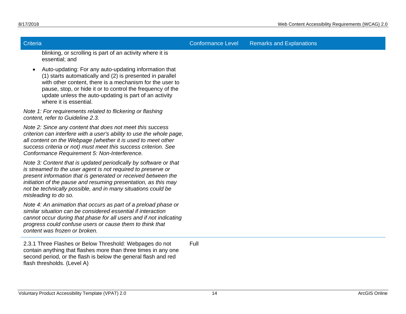Criteria Conformance Level Remarks and Explanations

blinking, or scrolling is part of an activity where it is essential; and

• Auto-updating: For any auto-updating information that (1) starts automatically and (2) is presented in parallel with other content, there is a mechanism for the user to pause, stop, or hide it or to control the frequency of the update unless the auto-updating is part of an activity where it is essential.

*Note 1: For requirements related to flickering or flashing content, refer to Guideline 2.3.*

*Note 2: Since any content that does not meet this success criterion can interfere with a user's ability to use the whole page, all content on the Webpage (whether it is used to meet other success criteria or not) must meet this success criterion. See Conformance Requirement 5: Non-Interference.*

*Note 3: Content that is updated periodically by software or that is streamed to the user agent is not required to preserve or present information that is generated or received between the initiation of the pause and resuming presentation, as this may not be technically possible, and in many situations could be misleading to do so.*

*Note 4: An animation that occurs as part of a preload phase or similar situation can be considered essential if interaction cannot occur during that phase for all users and if not indicating progress could confuse users or cause them to think that content was frozen or broken.*

2.3.1 Three Flashes or Below Threshold: Webpages do not contain anything that flashes more than three times in any one second period, or the flash is below the general flash and red flash thresholds. (Level A) Full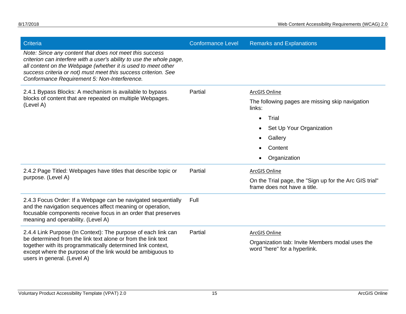| <b>Criteria</b>                                                                                                                                                                                                                                                                                                   | <b>Conformance Level</b> | <b>Remarks and Explanations</b>                                                        |
|-------------------------------------------------------------------------------------------------------------------------------------------------------------------------------------------------------------------------------------------------------------------------------------------------------------------|--------------------------|----------------------------------------------------------------------------------------|
| Note: Since any content that does not meet this success<br>criterion can interfere with a user's ability to use the whole page,<br>all content on the Webpage (whether it is used to meet other<br>success criteria or not) must meet this success criterion. See<br>Conformance Requirement 5: Non-Interference. |                          |                                                                                        |
| 2.4.1 Bypass Blocks: A mechanism is available to bypass                                                                                                                                                                                                                                                           | Partial                  | <b>ArcGIS Online</b>                                                                   |
| blocks of content that are repeated on multiple Webpages.<br>(Level A)                                                                                                                                                                                                                                            |                          | The following pages are missing skip navigation<br>links:                              |
|                                                                                                                                                                                                                                                                                                                   |                          | Trial<br>$\bullet$                                                                     |
|                                                                                                                                                                                                                                                                                                                   |                          | Set Up Your Organization                                                               |
|                                                                                                                                                                                                                                                                                                                   |                          | Gallery                                                                                |
|                                                                                                                                                                                                                                                                                                                   |                          | Content                                                                                |
|                                                                                                                                                                                                                                                                                                                   |                          | Organization                                                                           |
| 2.4.2 Page Titled: Webpages have titles that describe topic or                                                                                                                                                                                                                                                    | Partial                  | <b>ArcGIS Online</b>                                                                   |
| purpose. (Level A)                                                                                                                                                                                                                                                                                                |                          | On the Trial page, the "Sign up for the Arc GIS trial"<br>frame does not have a title. |
| 2.4.3 Focus Order: If a Webpage can be navigated sequentially<br>and the navigation sequences affect meaning or operation,<br>focusable components receive focus in an order that preserves<br>meaning and operability. (Level A)                                                                                 | Full                     |                                                                                        |
| 2.4.4 Link Purpose (In Context): The purpose of each link can                                                                                                                                                                                                                                                     | Partial                  | <b>ArcGIS Online</b>                                                                   |
| be determined from the link text alone or from the link text<br>together with its programmatically determined link context,                                                                                                                                                                                       |                          | Organization tab: Invite Members modal uses the                                        |
| except where the purpose of the link would be ambiguous to<br>users in general. (Level A)                                                                                                                                                                                                                         |                          | word "here" for a hyperlink.                                                           |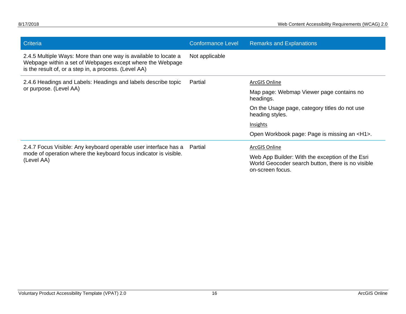| Criteria                                                                                                                                                                              | <b>Conformance Level</b> | <b>Remarks and Explanations</b>                                                                                          |
|---------------------------------------------------------------------------------------------------------------------------------------------------------------------------------------|--------------------------|--------------------------------------------------------------------------------------------------------------------------|
| 2.4.5 Multiple Ways: More than one way is available to locate a<br>Webpage within a set of Webpages except where the Webpage<br>is the result of, or a step in, a process. (Level AA) | Not applicable           |                                                                                                                          |
| 2.4.6 Headings and Labels: Headings and labels describe topic                                                                                                                         | Partial                  | ArcGIS Online                                                                                                            |
| or purpose. (Level AA)                                                                                                                                                                |                          | Map page: Webmap Viewer page contains no<br>headings.                                                                    |
|                                                                                                                                                                                       |                          | On the Usage page, category titles do not use<br>heading styles.                                                         |
|                                                                                                                                                                                       |                          | Insights                                                                                                                 |
|                                                                                                                                                                                       |                          | Open Workbook page: Page is missing an <h1>.</h1>                                                                        |
| 2.4.7 Focus Visible: Any keyboard operable user interface has a                                                                                                                       | Partial                  | ArcGIS Online                                                                                                            |
| mode of operation where the keyboard focus indicator is visible.<br>(Level AA)                                                                                                        |                          | Web App Builder: With the exception of the Esri<br>World Geocoder search button, there is no visible<br>on-screen focus. |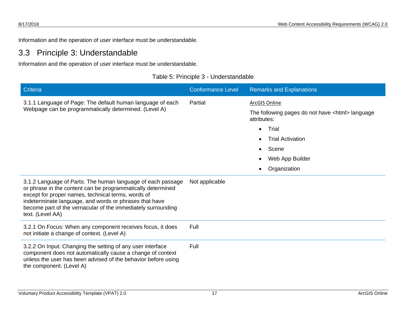Information and the operation of user interface must be understandable.

### 3.3 Principle 3: Understandable

Information and the operation of user interface must be understandable.

| Table 5: Principle 3 - Understandable |
|---------------------------------------|
|---------------------------------------|

<span id="page-19-0"></span>

| Criteria                                                                                                                                                                                                                                                                                                                       | <b>Conformance Level</b> | <b>Remarks and Explanations</b>                                                                                                                                                                                                |
|--------------------------------------------------------------------------------------------------------------------------------------------------------------------------------------------------------------------------------------------------------------------------------------------------------------------------------|--------------------------|--------------------------------------------------------------------------------------------------------------------------------------------------------------------------------------------------------------------------------|
| 3.1.1 Language of Page: The default human language of each<br>Webpage can be programmatically determined. (Level A)                                                                                                                                                                                                            | Partial                  | ArcGIS Online<br>The following pages do not have <html> language<br/>attributes:<br/>Trial<br/><math>\bullet</math><br/><b>Trial Activation</b><br/>Scene<br/><math>\bullet</math><br/>Web App Builder<br/>Organization</html> |
| 3.1.2 Language of Parts: The human language of each passage<br>or phrase in the content can be programmatically determined<br>except for proper names, technical terms, words of<br>indeterminate language, and words or phrases that have<br>become part of the vernacular of the immediately surrounding<br>text. (Level AA) | Not applicable           |                                                                                                                                                                                                                                |
| 3.2.1 On Focus: When any component receives focus, it does<br>not initiate a change of context. (Level A)                                                                                                                                                                                                                      | Full                     |                                                                                                                                                                                                                                |
| 3.2.2 On Input: Changing the setting of any user interface<br>component does not automatically cause a change of context<br>unless the user has been advised of the behavior before using<br>the component. (Level A)                                                                                                          | Full                     |                                                                                                                                                                                                                                |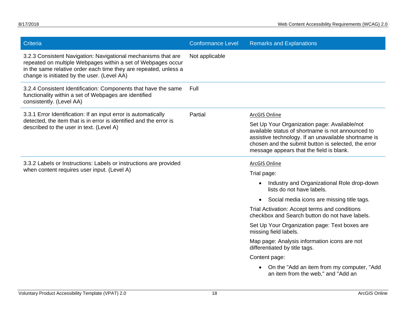| Criteria                                                                                                                                                                                                                                         | <b>Conformance Level</b> | <b>Remarks and Explanations</b>                                                                                                                                                                                                                              |
|--------------------------------------------------------------------------------------------------------------------------------------------------------------------------------------------------------------------------------------------------|--------------------------|--------------------------------------------------------------------------------------------------------------------------------------------------------------------------------------------------------------------------------------------------------------|
| 3.2.3 Consistent Navigation: Navigational mechanisms that are<br>repeated on multiple Webpages within a set of Webpages occur<br>in the same relative order each time they are repeated, unless a<br>change is initiated by the user. (Level AA) | Not applicable           |                                                                                                                                                                                                                                                              |
| 3.2.4 Consistent Identification: Components that have the same<br>functionality within a set of Webpages are identified<br>consistently. (Level AA)                                                                                              | Full                     |                                                                                                                                                                                                                                                              |
| 3.3.1 Error Identification: If an input error is automatically                                                                                                                                                                                   | Partial                  | ArcGIS Online                                                                                                                                                                                                                                                |
| detected, the item that is in error is identified and the error is<br>described to the user in text. (Level A)                                                                                                                                   |                          | Set Up Your Organization page: Available/not<br>available status of shortname is not announced to<br>assistive technology. If an unavailable shortname is<br>chosen and the submit button is selected, the error<br>message appears that the field is blank. |
| 3.3.2 Labels or Instructions: Labels or instructions are provided                                                                                                                                                                                |                          | ArcGIS Online                                                                                                                                                                                                                                                |
| when content requires user input. (Level A)                                                                                                                                                                                                      |                          | Trial page:                                                                                                                                                                                                                                                  |
|                                                                                                                                                                                                                                                  |                          | Industry and Organizational Role drop-down<br>lists do not have labels.                                                                                                                                                                                      |
|                                                                                                                                                                                                                                                  |                          | Social media icons are missing title tags.                                                                                                                                                                                                                   |
|                                                                                                                                                                                                                                                  |                          | Trial Activation: Accept terms and conditions<br>checkbox and Search button do not have labels.                                                                                                                                                              |
|                                                                                                                                                                                                                                                  |                          | Set Up Your Organization page: Text boxes are<br>missing field labels.                                                                                                                                                                                       |
|                                                                                                                                                                                                                                                  |                          | Map page: Analysis information icons are not<br>differentiated by title tags.                                                                                                                                                                                |
|                                                                                                                                                                                                                                                  |                          | Content page:                                                                                                                                                                                                                                                |
|                                                                                                                                                                                                                                                  |                          | On the "Add an item from my computer, "Add<br>an item from the web," and "Add an                                                                                                                                                                             |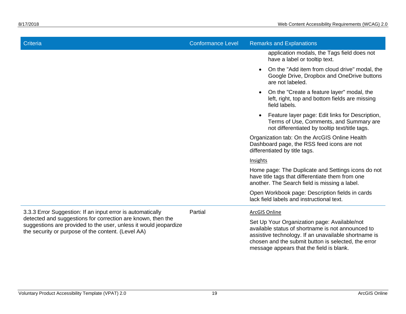| Criteria                                                                                                                                                                                                                                            | <b>Conformance Level</b> | <b>Remarks and Explanations</b>                                                                                                                                                                                                                              |  |
|-----------------------------------------------------------------------------------------------------------------------------------------------------------------------------------------------------------------------------------------------------|--------------------------|--------------------------------------------------------------------------------------------------------------------------------------------------------------------------------------------------------------------------------------------------------------|--|
|                                                                                                                                                                                                                                                     |                          | application modals, the Tags field does not<br>have a label or tooltip text.                                                                                                                                                                                 |  |
|                                                                                                                                                                                                                                                     |                          | On the "Add item from cloud drive" modal, the<br>Google Drive, Dropbox and OneDrive buttons<br>are not labeled.                                                                                                                                              |  |
|                                                                                                                                                                                                                                                     |                          | On the "Create a feature layer" modal, the<br>left, right, top and bottom fields are missing<br>field labels.                                                                                                                                                |  |
|                                                                                                                                                                                                                                                     |                          | Feature layer page: Edit links for Description,<br>Terms of Use, Comments, and Summary are<br>not differentiated by tooltip text/title tags.                                                                                                                 |  |
|                                                                                                                                                                                                                                                     |                          | Organization tab: On the ArcGIS Online Health<br>Dashboard page, the RSS feed icons are not<br>differentiated by title tags.                                                                                                                                 |  |
|                                                                                                                                                                                                                                                     |                          | Insights                                                                                                                                                                                                                                                     |  |
|                                                                                                                                                                                                                                                     |                          | Home page: The Duplicate and Settings icons do not<br>have title tags that differentiate them from one<br>another. The Search field is missing a label.                                                                                                      |  |
|                                                                                                                                                                                                                                                     |                          | Open Workbook page: Description fields in cards<br>lack field labels and instructional text.                                                                                                                                                                 |  |
| 3.3.3 Error Suggestion: If an input error is automatically<br>detected and suggestions for correction are known, then the<br>suggestions are provided to the user, unless it would jeopardize<br>the security or purpose of the content. (Level AA) | Partial                  | <b>ArcGIS Online</b>                                                                                                                                                                                                                                         |  |
|                                                                                                                                                                                                                                                     |                          | Set Up Your Organization page: Available/not<br>available status of shortname is not announced to<br>assistive technology. If an unavailable shortname is<br>chosen and the submit button is selected, the error<br>message appears that the field is blank. |  |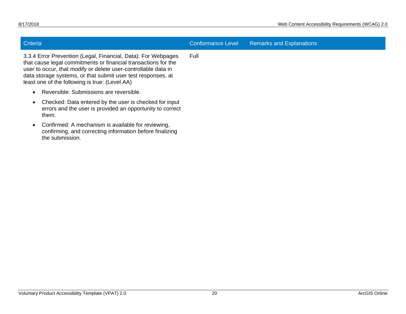<span id="page-22-0"></span>

| <b>Criteria</b> |                                                                                                                                                                                                                                                                                                                     | <b>Conformance Level</b> | <b>Remarks and Explanations</b> |
|-----------------|---------------------------------------------------------------------------------------------------------------------------------------------------------------------------------------------------------------------------------------------------------------------------------------------------------------------|--------------------------|---------------------------------|
|                 | 3.3.4 Error Prevention (Legal, Financial, Data): For Webpages<br>that cause legal commitments or financial transactions for the<br>user to occur, that modify or delete user-controllable data in<br>data storage systems, or that submit user test responses, at<br>least one of the following is true: (Level AA) | Full                     |                                 |
|                 | Reversible: Submissions are reversible.                                                                                                                                                                                                                                                                             |                          |                                 |
| them.           | Checked: Data entered by the user is checked for input<br>errors and the user is provided an opportunity to correct                                                                                                                                                                                                 |                          |                                 |
| the submission. | Confirmed: A mechanism is available for reviewing,<br>confirming, and correcting information before finalizing                                                                                                                                                                                                      |                          |                                 |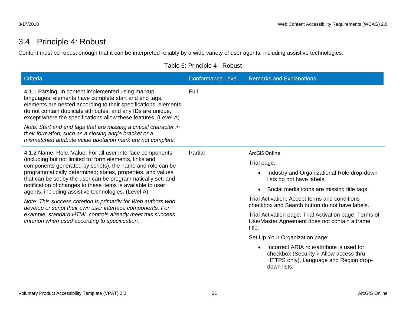## 3.4 Principle 4: Robust

Content must be robust enough that it can be interpreted reliably by a wide variety of user agents, including assistive technologies.

Table 6: Principle 4 - Robust

| Criteria                                                                                                                                                                                                                                                                                                                                                                                                                                                                                                                                                                                                                                                                                | <b>Conformance Level</b> | <b>Remarks and Explanations</b>                                                                                                              |
|-----------------------------------------------------------------------------------------------------------------------------------------------------------------------------------------------------------------------------------------------------------------------------------------------------------------------------------------------------------------------------------------------------------------------------------------------------------------------------------------------------------------------------------------------------------------------------------------------------------------------------------------------------------------------------------------|--------------------------|----------------------------------------------------------------------------------------------------------------------------------------------|
| 4.1.1 Parsing: In content implemented using markup<br>languages, elements have complete start and end tags,<br>elements are nested according to their specifications, elements<br>do not contain duplicate attributes, and any IDs are unique,<br>except where the specifications allow these features. (Level A)                                                                                                                                                                                                                                                                                                                                                                       | Full                     |                                                                                                                                              |
| Note: Start and end tags that are missing a critical character in<br>their formation, such as a closing angle bracket or a<br>mismatched attribute value quotation mark are not complete.                                                                                                                                                                                                                                                                                                                                                                                                                                                                                               |                          |                                                                                                                                              |
| 4.1.2 Name, Role, Value: For all user interface components<br>(including but not limited to: form elements, links and<br>components generated by scripts), the name and role can be<br>programmatically determined; states, properties, and values<br>that can be set by the user can be programmatically set; and<br>notification of changes to these items is available to user<br>agents, including assistive technologies. (Level A)<br>Note: This success criterion is primarily for Web authors who<br>develop or script their own user interface components. For<br>example, standard HTML controls already meet this success<br>criterion when used according to specification. | Partial                  | ArcGIS Online                                                                                                                                |
|                                                                                                                                                                                                                                                                                                                                                                                                                                                                                                                                                                                                                                                                                         |                          | Trial page:                                                                                                                                  |
|                                                                                                                                                                                                                                                                                                                                                                                                                                                                                                                                                                                                                                                                                         |                          | Industry and Organizational Role drop-down<br>lists do not have labels.                                                                      |
|                                                                                                                                                                                                                                                                                                                                                                                                                                                                                                                                                                                                                                                                                         |                          | Social media icons are missing title tags.                                                                                                   |
|                                                                                                                                                                                                                                                                                                                                                                                                                                                                                                                                                                                                                                                                                         |                          | Trial Activation: Accept terms and conditions<br>checkbox and Search button do not have labels.                                              |
|                                                                                                                                                                                                                                                                                                                                                                                                                                                                                                                                                                                                                                                                                         |                          | Trial Activation page: Trial Activation page: Terms of<br>Use/Master Agreement does not contain a frame<br>title.                            |
|                                                                                                                                                                                                                                                                                                                                                                                                                                                                                                                                                                                                                                                                                         |                          | Set Up Your Organization page:                                                                                                               |
|                                                                                                                                                                                                                                                                                                                                                                                                                                                                                                                                                                                                                                                                                         |                          | Incorrect ARIA role/attribute is used for<br>checkbox (Security > Allow access thru<br>HTTPS only), Language and Region drop-<br>down lists. |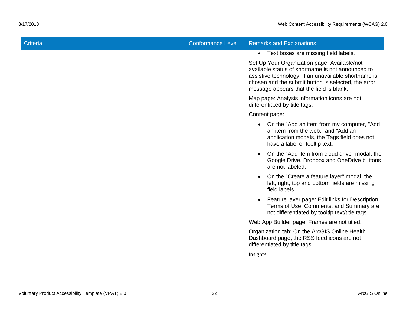# Criteria Conformance Level Remarks and Explanations

• Text boxes are missing field labels.

Set Up Your Organization page: Available/not available status of shortname is not announced to assistive technology. If an unavailable shortname is chosen and the submit button is selected, the error message appears that the field is blank.

Map page: Analysis information icons are not differentiated by title tags.

Content page:

- On the "Add an item from my computer, "Add an item from the web," and "Add an application modals, the Tags field does not have a label or tooltip text.
- On the "Add item from cloud drive" modal, the Google Drive, Dropbox and OneDrive buttons are not labeled.
- On the "Create a feature layer" modal, the left, right, top and bottom fields are missing field labels.
- Feature layer page: Edit links for Description, Terms of Use, Comments, and Summary are not differentiated by tooltip text/title tags.

Web App Builder page: Frames are not titled.

Organization tab: On the ArcGIS Online Health Dashboard page, the RSS feed icons are not differentiated by title tags.

Insights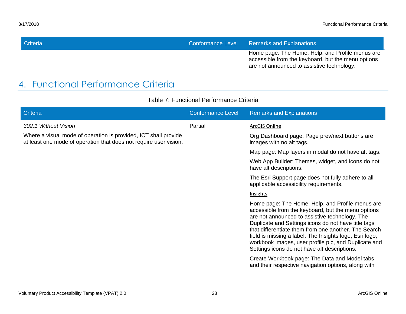| Criteria                                                                        | Conformance Level Remarks and Explanations                                                                                                           |
|---------------------------------------------------------------------------------|------------------------------------------------------------------------------------------------------------------------------------------------------|
|                                                                                 | Home page: The Home, Help, and Profile menus are<br>accessible from the keyboard, but the menu options<br>are not announced to assistive technology. |
| $\Gamma$ , the subset of $\Gamma$ is the set of $\Omega$ is the set of $\Omega$ |                                                                                                                                                      |

## 4. Functional Performance Criteria

<span id="page-25-0"></span>

| Criteria                                                                                                                             | <b>Conformance Level</b> | <b>Remarks and Explanations</b>                                                                                                                                                                                                                                                                                                                                                                                                            |
|--------------------------------------------------------------------------------------------------------------------------------------|--------------------------|--------------------------------------------------------------------------------------------------------------------------------------------------------------------------------------------------------------------------------------------------------------------------------------------------------------------------------------------------------------------------------------------------------------------------------------------|
| 302.1 Without Vision                                                                                                                 | Partial                  | ArcGIS Online                                                                                                                                                                                                                                                                                                                                                                                                                              |
| Where a visual mode of operation is provided, ICT shall provide<br>at least one mode of operation that does not require user vision. |                          | Org Dashboard page: Page prev/next buttons are<br>images with no alt tags.                                                                                                                                                                                                                                                                                                                                                                 |
|                                                                                                                                      |                          | Map page: Map layers in modal do not have alt tags.                                                                                                                                                                                                                                                                                                                                                                                        |
|                                                                                                                                      |                          | Web App Builder: Themes, widget, and icons do not<br>have alt descriptions.                                                                                                                                                                                                                                                                                                                                                                |
|                                                                                                                                      |                          | The Esri Support page does not fully adhere to all<br>applicable accessibility requirements.                                                                                                                                                                                                                                                                                                                                               |
|                                                                                                                                      |                          | <b>Insights</b>                                                                                                                                                                                                                                                                                                                                                                                                                            |
|                                                                                                                                      |                          | Home page: The Home, Help, and Profile menus are<br>accessible from the keyboard, but the menu options<br>are not announced to assistive technology. The<br>Duplicate and Settings icons do not have title tags<br>that differentiate them from one another. The Search<br>field is missing a label. The Insights logo, Esri logo,<br>workbook images, user profile pic, and Duplicate and<br>Settings icons do not have alt descriptions. |
|                                                                                                                                      |                          | Create Workbook page: The Data and Model tabs<br>and their respective navigation options, along with                                                                                                                                                                                                                                                                                                                                       |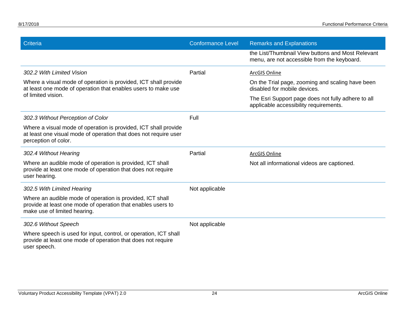| Criteria                                                                                                                                                    | <b>Conformance Level</b> | <b>Remarks and Explanations</b>                                                                  |
|-------------------------------------------------------------------------------------------------------------------------------------------------------------|--------------------------|--------------------------------------------------------------------------------------------------|
|                                                                                                                                                             |                          | the List/Thumbnail View buttons and Most Relevant<br>menu, are not accessible from the keyboard. |
| 302.2 With Limited Vision                                                                                                                                   | Partial                  | <b>ArcGIS Online</b>                                                                             |
| Where a visual mode of operation is provided, ICT shall provide<br>at least one mode of operation that enables users to make use                            |                          | On the Trial page, zooming and scaling have been<br>disabled for mobile devices.                 |
| of limited vision.                                                                                                                                          |                          | The Esri Support page does not fully adhere to all<br>applicable accessibility requirements.     |
| 302.3 Without Perception of Color                                                                                                                           | Full                     |                                                                                                  |
| Where a visual mode of operation is provided, ICT shall provide<br>at least one visual mode of operation that does not require user<br>perception of color. |                          |                                                                                                  |
| 302.4 Without Hearing                                                                                                                                       | Partial                  | ArcGIS Online                                                                                    |
| Where an audible mode of operation is provided, ICT shall<br>provide at least one mode of operation that does not require<br>user hearing.                  |                          | Not all informational videos are captioned.                                                      |
| 302.5 With Limited Hearing                                                                                                                                  | Not applicable           |                                                                                                  |
| Where an audible mode of operation is provided, ICT shall<br>provide at least one mode of operation that enables users to<br>make use of limited hearing.   |                          |                                                                                                  |
| 302.6 Without Speech                                                                                                                                        | Not applicable           |                                                                                                  |
| Where speech is used for input, control, or operation, ICT shall<br>provide at least one mode of operation that does not require<br>user speech.            |                          |                                                                                                  |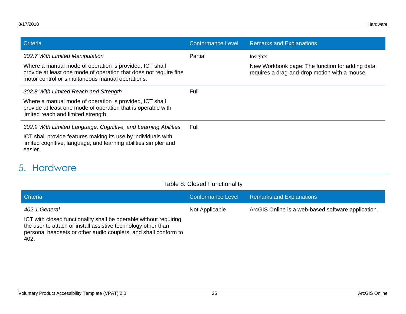| Criteria                                                                                                                                                                         | <b>Conformance Level</b> | <b>Remarks and Explanations</b>                                                                  |
|----------------------------------------------------------------------------------------------------------------------------------------------------------------------------------|--------------------------|--------------------------------------------------------------------------------------------------|
| 302.7 With Limited Manipulation                                                                                                                                                  | Partial                  | Insights                                                                                         |
| Where a manual mode of operation is provided, ICT shall<br>provide at least one mode of operation that does not require fine<br>motor control or simultaneous manual operations. |                          | New Workbook page: The function for adding data<br>requires a drag-and-drop motion with a mouse. |
| 302.8 With Limited Reach and Strength                                                                                                                                            | Full                     |                                                                                                  |
| Where a manual mode of operation is provided, ICT shall<br>provide at least one mode of operation that is operable with<br>limited reach and limited strength.                   |                          |                                                                                                  |
| 302.9 With Limited Language, Cognitive, and Learning Abilities                                                                                                                   | Full                     |                                                                                                  |
| ICT shall provide features making its use by individuals with<br>limited cognitive, language, and learning abilities simpler and<br>easier.                                      |                          |                                                                                                  |

## 5. Hardware

<span id="page-27-0"></span>402.

| Table 8: Closed Functionality |  |
|-------------------------------|--|
|-------------------------------|--|

| <b>Criteria</b>                                                                                                                                                                                       | Conformance Level | <b>Remarks and Explanations</b>                    |
|-------------------------------------------------------------------------------------------------------------------------------------------------------------------------------------------------------|-------------------|----------------------------------------------------|
| 402.1 General                                                                                                                                                                                         | Not Applicable    | ArcGIS Online is a web-based software application. |
| ICT with closed functionality shall be operable without requiring<br>the user to attach or install assistive technology other than<br>personal headsets or other audio couplers, and shall conform to |                   |                                                    |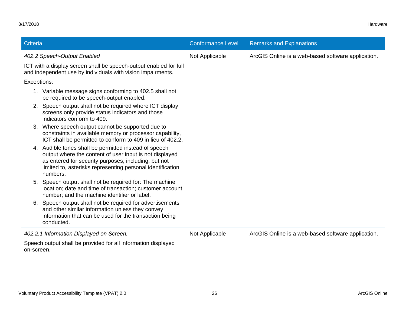| Criteria    |                                                                                                                                                                                                                                                 | <b>Conformance Level</b> | <b>Remarks and Explanations</b>                    |
|-------------|-------------------------------------------------------------------------------------------------------------------------------------------------------------------------------------------------------------------------------------------------|--------------------------|----------------------------------------------------|
|             | 402.2 Speech-Output Enabled                                                                                                                                                                                                                     | Not Applicable           | ArcGIS Online is a web-based software application. |
|             | ICT with a display screen shall be speech-output enabled for full<br>and independent use by individuals with vision impairments.                                                                                                                |                          |                                                    |
| Exceptions: |                                                                                                                                                                                                                                                 |                          |                                                    |
|             | 1. Variable message signs conforming to 402.5 shall not<br>be required to be speech-output enabled.                                                                                                                                             |                          |                                                    |
|             | Speech output shall not be required where ICT display<br>screens only provide status indicators and those<br>indicators conform to 409.                                                                                                         |                          |                                                    |
| 3.          | Where speech output cannot be supported due to<br>constraints in available memory or processor capability,<br>ICT shall be permitted to conform to 409 in lieu of 402.2.                                                                        |                          |                                                    |
| 4.          | Audible tones shall be permitted instead of speech<br>output where the content of user input is not displayed<br>as entered for security purposes, including, but not<br>limited to, asterisks representing personal identification<br>numbers. |                          |                                                    |
| 5.          | Speech output shall not be required for: The machine<br>location; date and time of transaction; customer account<br>number; and the machine identifier or label.                                                                                |                          |                                                    |
| 6.          | Speech output shall not be required for advertisements<br>and other similar information unless they convey<br>information that can be used for the transaction being<br>conducted.                                                              |                          |                                                    |
|             | 402.2.1 Information Displayed on Screen.                                                                                                                                                                                                        | Not Applicable           | ArcGIS Online is a web-based software application. |
| on-screen.  | Speech output shall be provided for all information displayed                                                                                                                                                                                   |                          |                                                    |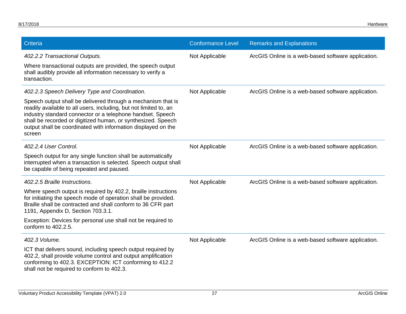| Criteria                                                                                                                                                                                                                                                                                                                                                                                     | <b>Conformance Level</b> | <b>Remarks and Explanations</b>                    |
|----------------------------------------------------------------------------------------------------------------------------------------------------------------------------------------------------------------------------------------------------------------------------------------------------------------------------------------------------------------------------------------------|--------------------------|----------------------------------------------------|
| 402.2.2 Transactional Outputs.<br>Where transactional outputs are provided, the speech output<br>shall audibly provide all information necessary to verify a<br>transaction.                                                                                                                                                                                                                 | Not Applicable           | ArcGIS Online is a web-based software application. |
| 402.2.3 Speech Delivery Type and Coordination.<br>Speech output shall be delivered through a mechanism that is<br>readily available to all users, including, but not limited to, an<br>industry standard connector or a telephone handset. Speech<br>shall be recorded or digitized human, or synthesized. Speech<br>output shall be coordinated with information displayed on the<br>screen | Not Applicable           | ArcGIS Online is a web-based software application. |
| 402.2.4 User Control.<br>Speech output for any single function shall be automatically<br>interrupted when a transaction is selected. Speech output shall<br>be capable of being repeated and paused.                                                                                                                                                                                         | Not Applicable           | ArcGIS Online is a web-based software application. |
| 402.2.5 Braille Instructions.<br>Where speech output is required by 402.2, braille instructions<br>for initiating the speech mode of operation shall be provided.<br>Braille shall be contracted and shall conform to 36 CFR part<br>1191, Appendix D, Section 703.3.1.<br>Exception: Devices for personal use shall not be required to<br>conform to 402.2.5.                               | Not Applicable           | ArcGIS Online is a web-based software application. |
| 402.3 Volume.<br>ICT that delivers sound, including speech output required by<br>402.2, shall provide volume control and output amplification<br>conforming to 402.3. EXCEPTION: ICT conforming to 412.2<br>shall not be required to conform to 402.3.                                                                                                                                       | Not Applicable           | ArcGIS Online is a web-based software application. |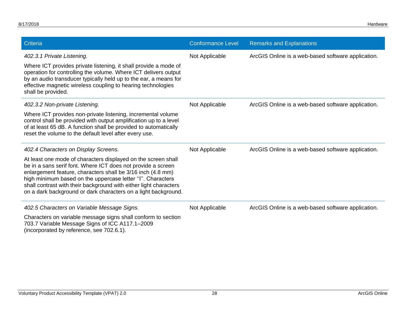| Criteria                                                                                                                                                                                                                                                                                                                                                                                          | <b>Conformance Level</b> | <b>Remarks and Explanations</b>                    |
|---------------------------------------------------------------------------------------------------------------------------------------------------------------------------------------------------------------------------------------------------------------------------------------------------------------------------------------------------------------------------------------------------|--------------------------|----------------------------------------------------|
| 402.3.1 Private Listening.<br>Where ICT provides private listening, it shall provide a mode of<br>operation for controlling the volume. Where ICT delivers output<br>by an audio transducer typically held up to the ear, a means for<br>effective magnetic wireless coupling to hearing technologies<br>shall be provided.                                                                       | Not Applicable           | ArcGIS Online is a web-based software application. |
| 402.3.2 Non-private Listening.                                                                                                                                                                                                                                                                                                                                                                    | Not Applicable           | ArcGIS Online is a web-based software application. |
| Where ICT provides non-private listening, incremental volume<br>control shall be provided with output amplification up to a level<br>of at least 65 dB. A function shall be provided to automatically<br>reset the volume to the default level after every use.                                                                                                                                   |                          |                                                    |
| 402.4 Characters on Display Screens.                                                                                                                                                                                                                                                                                                                                                              | Not Applicable           | ArcGIS Online is a web-based software application. |
| At least one mode of characters displayed on the screen shall<br>be in a sans serif font. Where ICT does not provide a screen<br>enlargement feature, characters shall be 3/16 inch (4.8 mm)<br>high minimum based on the uppercase letter "I". Characters<br>shall contrast with their background with either light characters<br>on a dark background or dark characters on a light background. |                          |                                                    |
| 402.5 Characters on Variable Message Signs.                                                                                                                                                                                                                                                                                                                                                       | Not Applicable           | ArcGIS Online is a web-based software application. |
| Characters on variable message signs shall conform to section<br>703.7 Variable Message Signs of ICC A117.1-2009<br>(incorporated by reference, see 702.6.1).                                                                                                                                                                                                                                     |                          |                                                    |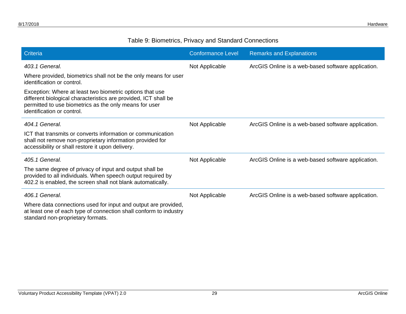#### Table 9: Biometrics, Privacy and Standard Connections

| Criteria                                                                                                                                                                                                            | <b>Conformance Level</b> | <b>Remarks and Explanations</b>                    |
|---------------------------------------------------------------------------------------------------------------------------------------------------------------------------------------------------------------------|--------------------------|----------------------------------------------------|
| 403.1 General.                                                                                                                                                                                                      | Not Applicable           | ArcGIS Online is a web-based software application. |
| Where provided, biometrics shall not be the only means for user<br>identification or control.                                                                                                                       |                          |                                                    |
| Exception: Where at least two biometric options that use<br>different biological characteristics are provided, ICT shall be<br>permitted to use biometrics as the only means for user<br>identification or control. |                          |                                                    |
| 404.1 General.                                                                                                                                                                                                      | Not Applicable           | ArcGIS Online is a web-based software application. |
| ICT that transmits or converts information or communication<br>shall not remove non-proprietary information provided for<br>accessibility or shall restore it upon delivery.                                        |                          |                                                    |
| 405.1 General.                                                                                                                                                                                                      | Not Applicable           | ArcGIS Online is a web-based software application. |
| The same degree of privacy of input and output shall be<br>provided to all individuals. When speech output required by<br>402.2 is enabled, the screen shall not blank automatically.                               |                          |                                                    |
| 406.1 General.                                                                                                                                                                                                      | Not Applicable           | ArcGIS Online is a web-based software application. |
| Where data connections used for input and output are provided,<br>at least one of each type of connection shall conform to industry<br>standard non-proprietary formats.                                            |                          |                                                    |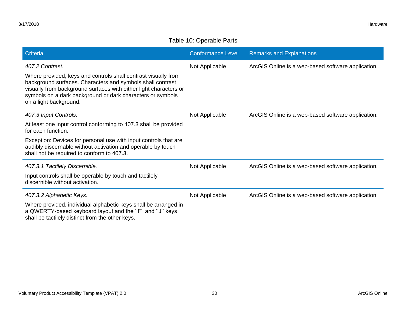#### Table 10: Operable Parts

| Criteria                                                                                                                                                                                                                                                                                  | <b>Conformance Level</b> | <b>Remarks and Explanations</b>                    |
|-------------------------------------------------------------------------------------------------------------------------------------------------------------------------------------------------------------------------------------------------------------------------------------------|--------------------------|----------------------------------------------------|
| 407.2 Contrast.                                                                                                                                                                                                                                                                           | Not Applicable           | ArcGIS Online is a web-based software application. |
| Where provided, keys and controls shall contrast visually from<br>background surfaces. Characters and symbols shall contrast<br>visually from background surfaces with either light characters or<br>symbols on a dark background or dark characters or symbols<br>on a light background. |                          |                                                    |
| 407.3 Input Controls.                                                                                                                                                                                                                                                                     | Not Applicable           | ArcGIS Online is a web-based software application. |
| At least one input control conforming to 407.3 shall be provided<br>for each function.                                                                                                                                                                                                    |                          |                                                    |
| Exception: Devices for personal use with input controls that are<br>audibly discernable without activation and operable by touch<br>shall not be required to conform to 407.3.                                                                                                            |                          |                                                    |
| 407.3.1 Tactilely Discernible.                                                                                                                                                                                                                                                            | Not Applicable           | ArcGIS Online is a web-based software application. |
| Input controls shall be operable by touch and tactilely<br>discernible without activation.                                                                                                                                                                                                |                          |                                                    |
| 407.3.2 Alphabetic Keys.                                                                                                                                                                                                                                                                  | Not Applicable           | ArcGIS Online is a web-based software application. |
| Where provided, individual alphabetic keys shall be arranged in<br>a QWERTY-based keyboard layout and the "F" and "J" keys<br>shall be tactilely distinct from the other keys.                                                                                                            |                          |                                                    |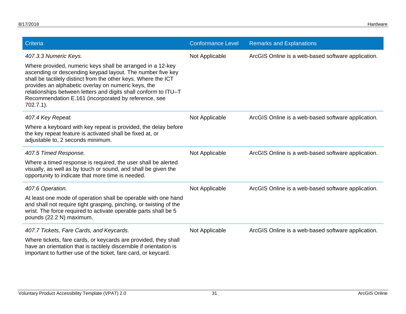| Criteria                                                                                                                                                                                                                                                                                                                                                                                     | <b>Conformance Level</b> | <b>Remarks and Explanations</b>                    |
|----------------------------------------------------------------------------------------------------------------------------------------------------------------------------------------------------------------------------------------------------------------------------------------------------------------------------------------------------------------------------------------------|--------------------------|----------------------------------------------------|
| 407.3.3 Numeric Keys.                                                                                                                                                                                                                                                                                                                                                                        | Not Applicable           | ArcGIS Online is a web-based software application. |
| Where provided, numeric keys shall be arranged in a 12-key<br>ascending or descending keypad layout. The number five key<br>shall be tactilely distinct from the other keys. Where the ICT<br>provides an alphabetic overlay on numeric keys, the<br>relationships between letters and digits shall conform to ITU-T<br>Recommendation E.161 (incorporated by reference, see<br>$702.7.1$ ). |                          |                                                    |
| 407.4 Key Repeat.                                                                                                                                                                                                                                                                                                                                                                            | Not Applicable           | ArcGIS Online is a web-based software application. |
| Where a keyboard with key repeat is provided, the delay before<br>the key repeat feature is activated shall be fixed at, or<br>adjustable to, 2 seconds minimum.                                                                                                                                                                                                                             |                          |                                                    |
| 407.5 Timed Response.                                                                                                                                                                                                                                                                                                                                                                        | Not Applicable           | ArcGIS Online is a web-based software application. |
| Where a timed response is required, the user shall be alerted<br>visually, as well as by touch or sound, and shall be given the<br>opportunity to indicate that more time is needed.                                                                                                                                                                                                         |                          |                                                    |
| 407.6 Operation.                                                                                                                                                                                                                                                                                                                                                                             | Not Applicable           | ArcGIS Online is a web-based software application. |
| At least one mode of operation shall be operable with one hand<br>and shall not require tight grasping, pinching, or twisting of the<br>wrist. The force required to activate operable parts shall be 5<br>pounds (22.2 N) maximum.                                                                                                                                                          |                          |                                                    |
| 407.7 Tickets, Fare Cards, and Keycards.                                                                                                                                                                                                                                                                                                                                                     | Not Applicable           | ArcGIS Online is a web-based software application. |
| Where tickets, fare cards, or keycards are provided, they shall<br>have an orientation that is tactilely discernible if orientation is<br>important to further use of the ticket, fare card, or keycard.                                                                                                                                                                                     |                          |                                                    |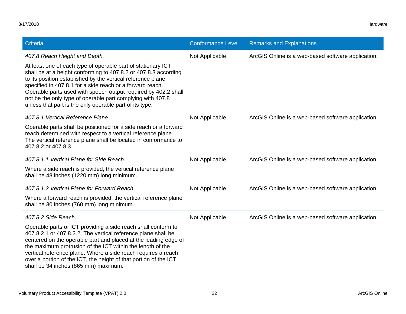| Criteria                                                                                                                                                                                                                                                                                                                                                                                                                                               | <b>Conformance Level</b> | <b>Remarks and Explanations</b>                    |
|--------------------------------------------------------------------------------------------------------------------------------------------------------------------------------------------------------------------------------------------------------------------------------------------------------------------------------------------------------------------------------------------------------------------------------------------------------|--------------------------|----------------------------------------------------|
| 407.8 Reach Height and Depth.                                                                                                                                                                                                                                                                                                                                                                                                                          | Not Applicable           | ArcGIS Online is a web-based software application. |
| At least one of each type of operable part of stationary ICT<br>shall be at a height conforming to 407.8.2 or 407.8.3 according<br>to its position established by the vertical reference plane<br>specified in 407.8.1 for a side reach or a forward reach.<br>Operable parts used with speech output required by 402.2 shall<br>not be the only type of operable part complying with 407.8<br>unless that part is the only operable part of its type. |                          |                                                    |
| 407.8.1 Vertical Reference Plane.                                                                                                                                                                                                                                                                                                                                                                                                                      | Not Applicable           | ArcGIS Online is a web-based software application. |
| Operable parts shall be positioned for a side reach or a forward<br>reach determined with respect to a vertical reference plane.<br>The vertical reference plane shall be located in conformance to<br>407.8.2 or 407.8.3.                                                                                                                                                                                                                             |                          |                                                    |
| 407.8.1.1 Vertical Plane for Side Reach.                                                                                                                                                                                                                                                                                                                                                                                                               | Not Applicable           | ArcGIS Online is a web-based software application. |
| Where a side reach is provided, the vertical reference plane<br>shall be 48 inches (1220 mm) long minimum.                                                                                                                                                                                                                                                                                                                                             |                          |                                                    |
| 407.8.1.2 Vertical Plane for Forward Reach.                                                                                                                                                                                                                                                                                                                                                                                                            | Not Applicable           | ArcGIS Online is a web-based software application. |
| Where a forward reach is provided, the vertical reference plane<br>shall be 30 inches (760 mm) long minimum.                                                                                                                                                                                                                                                                                                                                           |                          |                                                    |
| 407.8.2 Side Reach.                                                                                                                                                                                                                                                                                                                                                                                                                                    | Not Applicable           | ArcGIS Online is a web-based software application. |
| Operable parts of ICT providing a side reach shall conform to<br>407.8.2.1 or 407.8.2.2. The vertical reference plane shall be<br>centered on the operable part and placed at the leading edge of<br>the maximum protrusion of the ICT within the length of the<br>vertical reference plane. Where a side reach requires a reach<br>over a portion of the ICT, the height of that portion of the ICT<br>shall be 34 inches (865 mm) maximum.           |                          |                                                    |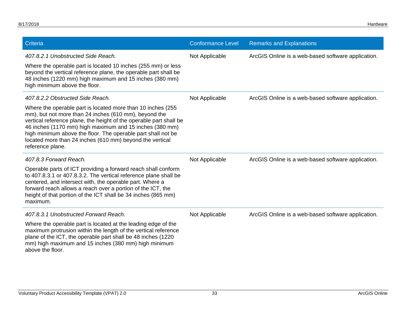| Criteria                                                                                                                                                                                                                                                                                                                                                                                               | <b>Conformance Level</b> | <b>Remarks and Explanations</b>                    |
|--------------------------------------------------------------------------------------------------------------------------------------------------------------------------------------------------------------------------------------------------------------------------------------------------------------------------------------------------------------------------------------------------------|--------------------------|----------------------------------------------------|
| 407.8.2.1 Unobstructed Side Reach.                                                                                                                                                                                                                                                                                                                                                                     | Not Applicable           | ArcGIS Online is a web-based software application. |
| Where the operable part is located 10 inches (255 mm) or less<br>beyond the vertical reference plane, the operable part shall be<br>48 inches (1220 mm) high maximum and 15 inches (380 mm)<br>high minimum above the floor.                                                                                                                                                                           |                          |                                                    |
| 407.8.2.2 Obstructed Side Reach.                                                                                                                                                                                                                                                                                                                                                                       | Not Applicable           | ArcGIS Online is a web-based software application. |
| Where the operable part is located more than 10 inches (255)<br>mm), but not more than 24 inches (610 mm), beyond the<br>vertical reference plane, the height of the operable part shall be<br>46 inches (1170 mm) high maximum and 15 inches (380 mm)<br>high minimum above the floor. The operable part shall not be<br>located more than 24 inches (610 mm) beyond the vertical<br>reference plane. |                          |                                                    |
| 407.8.3 Forward Reach.                                                                                                                                                                                                                                                                                                                                                                                 | Not Applicable           | ArcGIS Online is a web-based software application. |
| Operable parts of ICT providing a forward reach shall conform<br>to 407.8.3.1 or 407.8.3.2. The vertical reference plane shall be<br>centered, and intersect with, the operable part. Where a<br>forward reach allows a reach over a portion of the ICT, the<br>height of that portion of the ICT shall be 34 inches (865 mm)<br>maximum.                                                              |                          |                                                    |
| 407.8.3.1 Unobstructed Forward Reach.                                                                                                                                                                                                                                                                                                                                                                  | Not Applicable           | ArcGIS Online is a web-based software application. |
| Where the operable part is located at the leading edge of the<br>maximum protrusion within the length of the vertical reference<br>plane of the ICT, the operable part shall be 48 inches (1220<br>mm) high maximum and 15 inches (380 mm) high minimum<br>above the floor.                                                                                                                            |                          |                                                    |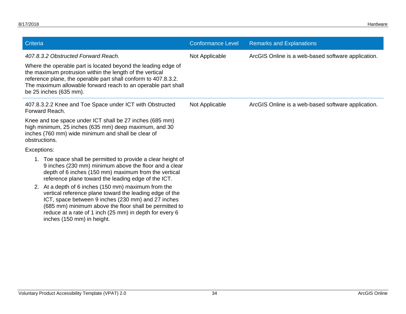| Criteria                                                                                                                                                                                                                                                                                                                                                                                                                                                                                                                                                        | <b>Conformance Level</b> | <b>Remarks and Explanations</b>                    |
|-----------------------------------------------------------------------------------------------------------------------------------------------------------------------------------------------------------------------------------------------------------------------------------------------------------------------------------------------------------------------------------------------------------------------------------------------------------------------------------------------------------------------------------------------------------------|--------------------------|----------------------------------------------------|
| 407.8.3.2 Obstructed Forward Reach.<br>Where the operable part is located beyond the leading edge of<br>the maximum protrusion within the length of the vertical<br>reference plane, the operable part shall conform to 407.8.3.2.<br>The maximum allowable forward reach to an operable part shall<br>be 25 inches (635 mm).                                                                                                                                                                                                                                   | Not Applicable           | ArcGIS Online is a web-based software application. |
| 407.8.3.2.2 Knee and Toe Space under ICT with Obstructed<br>Forward Reach.                                                                                                                                                                                                                                                                                                                                                                                                                                                                                      | Not Applicable           | ArcGIS Online is a web-based software application. |
| Knee and toe space under ICT shall be 27 inches (685 mm)<br>high minimum, 25 inches (635 mm) deep maximum, and 30<br>inches (760 mm) wide minimum and shall be clear of<br>obstructions.                                                                                                                                                                                                                                                                                                                                                                        |                          |                                                    |
| Exceptions:                                                                                                                                                                                                                                                                                                                                                                                                                                                                                                                                                     |                          |                                                    |
| 1. Toe space shall be permitted to provide a clear height of<br>9 inches (230 mm) minimum above the floor and a clear<br>depth of 6 inches (150 mm) maximum from the vertical<br>reference plane toward the leading edge of the ICT.<br>2. At a depth of 6 inches (150 mm) maximum from the<br>vertical reference plane toward the leading edge of the<br>ICT, space between 9 inches (230 mm) and 27 inches<br>(685 mm) minimum above the floor shall be permitted to<br>reduce at a rate of 1 inch (25 mm) in depth for every 6<br>inches (150 mm) in height. |                          |                                                    |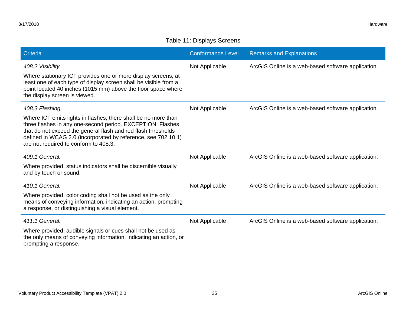#### Table 11: Displays Screens

| <b>Criteria</b>                                                                                                                                                                                                                                                                                                            | <b>Conformance Level</b> | <b>Remarks and Explanations</b>                    |
|----------------------------------------------------------------------------------------------------------------------------------------------------------------------------------------------------------------------------------------------------------------------------------------------------------------------------|--------------------------|----------------------------------------------------|
| 408.2 Visibility.<br>Where stationary ICT provides one or more display screens, at<br>least one of each type of display screen shall be visible from a<br>point located 40 inches (1015 mm) above the floor space where<br>the display screen is viewed.                                                                   | Not Applicable           | ArcGIS Online is a web-based software application. |
| 408.3 Flashing.<br>Where ICT emits lights in flashes, there shall be no more than<br>three flashes in any one-second period. EXCEPTION: Flashes<br>that do not exceed the general flash and red flash thresholds<br>defined in WCAG 2.0 (incorporated by reference, see 702.10.1)<br>are not required to conform to 408.3. | Not Applicable           | ArcGIS Online is a web-based software application. |
| 409.1 General.<br>Where provided, status indicators shall be discernible visually<br>and by touch or sound.                                                                                                                                                                                                                | Not Applicable           | ArcGIS Online is a web-based software application. |
| 410.1 General.<br>Where provided, color coding shall not be used as the only<br>means of conveying information, indicating an action, prompting<br>a response, or distinguishing a visual element.                                                                                                                         | Not Applicable           | ArcGIS Online is a web-based software application. |
| 411.1 General.<br>Where provided, audible signals or cues shall not be used as<br>the only means of conveying information, indicating an action, or<br>prompting a response.                                                                                                                                               | Not Applicable           | ArcGIS Online is a web-based software application. |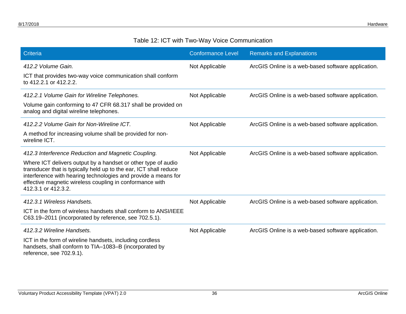#### Table 12: ICT with Two-Way Voice Communication

| Criteria                                                                                                                                                                                                                                                                                | <b>Conformance Level</b> | <b>Remarks and Explanations</b>                    |
|-----------------------------------------------------------------------------------------------------------------------------------------------------------------------------------------------------------------------------------------------------------------------------------------|--------------------------|----------------------------------------------------|
| 412.2 Volume Gain.                                                                                                                                                                                                                                                                      | Not Applicable           | ArcGIS Online is a web-based software application. |
| ICT that provides two-way voice communication shall conform<br>to 412.2.1 or 412.2.2.                                                                                                                                                                                                   |                          |                                                    |
| 412.2.1 Volume Gain for Wireline Telephones.                                                                                                                                                                                                                                            | Not Applicable           | ArcGIS Online is a web-based software application. |
| Volume gain conforming to 47 CFR 68.317 shall be provided on<br>analog and digital wireline telephones.                                                                                                                                                                                 |                          |                                                    |
| 412.2.2 Volume Gain for Non-Wireline ICT.                                                                                                                                                                                                                                               | Not Applicable           | ArcGIS Online is a web-based software application. |
| A method for increasing volume shall be provided for non-<br>wireline ICT.                                                                                                                                                                                                              |                          |                                                    |
| 412.3 Interference Reduction and Magnetic Coupling.                                                                                                                                                                                                                                     | Not Applicable           | ArcGIS Online is a web-based software application. |
| Where ICT delivers output by a handset or other type of audio<br>transducer that is typically held up to the ear, ICT shall reduce<br>interference with hearing technologies and provide a means for<br>effective magnetic wireless coupling in conformance with<br>412.3.1 or 412.3.2. |                          |                                                    |
| 412.3.1 Wireless Handsets.                                                                                                                                                                                                                                                              | Not Applicable           | ArcGIS Online is a web-based software application. |
| ICT in the form of wireless handsets shall conform to ANSI/IEEE<br>C63.19–2011 (incorporated by reference, see 702.5.1).                                                                                                                                                                |                          |                                                    |
| 412.3.2 Wireline Handsets.                                                                                                                                                                                                                                                              | Not Applicable           | ArcGIS Online is a web-based software application. |
| ICT in the form of wireline handsets, including cordless<br>handsets, shall conform to TIA-1083-B (incorporated by<br>reference, see 702.9.1).                                                                                                                                          |                          |                                                    |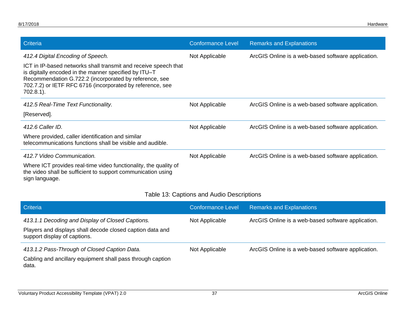| Criteria                                                                                                                                                                                                                                                        | <b>Conformance Level</b> | <b>Remarks and Explanations</b>                    |
|-----------------------------------------------------------------------------------------------------------------------------------------------------------------------------------------------------------------------------------------------------------------|--------------------------|----------------------------------------------------|
| 412.4 Digital Encoding of Speech.                                                                                                                                                                                                                               | Not Applicable           | ArcGIS Online is a web-based software application. |
| ICT in IP-based networks shall transmit and receive speech that<br>is digitally encoded in the manner specified by ITU-T<br>Recommendation G.722.2 (incorporated by reference, see<br>702.7.2) or IETF RFC 6716 (incorporated by reference, see<br>$702.8.1$ ). |                          |                                                    |
| 412.5 Real-Time Text Functionality.                                                                                                                                                                                                                             | Not Applicable           | ArcGIS Online is a web-based software application. |
| [Reserved].                                                                                                                                                                                                                                                     |                          |                                                    |
| 412.6 Caller ID.                                                                                                                                                                                                                                                | Not Applicable           | ArcGIS Online is a web-based software application. |
| Where provided, caller identification and similar<br>telecommunications functions shall be visible and audible.                                                                                                                                                 |                          |                                                    |
| 412.7 Video Communication.                                                                                                                                                                                                                                      | Not Applicable           | ArcGIS Online is a web-based software application. |
| Where ICT provides real-time video functionality, the quality of<br>the video shall be sufficient to support communication using<br>sign language.                                                                                                              |                          |                                                    |

#### Table 13: Captions and Audio Descriptions

| Criteria                                                                                                                                      | <b>Conformance Level</b> | <b>Remarks and Explanations</b>                    |
|-----------------------------------------------------------------------------------------------------------------------------------------------|--------------------------|----------------------------------------------------|
| 413.1.1 Decoding and Display of Closed Captions.<br>Players and displays shall decode closed caption data and<br>support display of captions. | Not Applicable           | ArcGIS Online is a web-based software application. |
| 413.1.2 Pass-Through of Closed Caption Data.<br>Cabling and ancillary equipment shall pass through caption<br>data.                           | Not Applicable           | ArcGIS Online is a web-based software application. |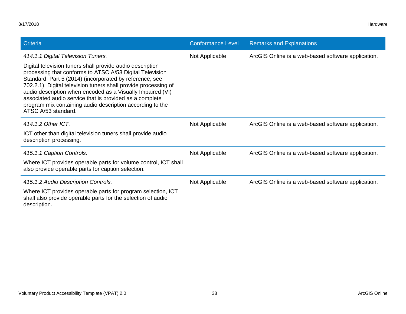| Criteria                                                                                                                                                                                                                                                                                                                                                                                                                                                                                               | <b>Conformance Level</b> | <b>Remarks and Explanations</b>                    |
|--------------------------------------------------------------------------------------------------------------------------------------------------------------------------------------------------------------------------------------------------------------------------------------------------------------------------------------------------------------------------------------------------------------------------------------------------------------------------------------------------------|--------------------------|----------------------------------------------------|
| 414.1.1 Digital Television Tuners.<br>Digital television tuners shall provide audio description<br>processing that conforms to ATSC A/53 Digital Television<br>Standard, Part 5 (2014) (incorporated by reference, see<br>702.2.1). Digital television tuners shall provide processing of<br>audio description when encoded as a Visually Impaired (VI)<br>associated audio service that is provided as a complete<br>program mix containing audio description according to the<br>ATSC A/53 standard. | Not Applicable           | ArcGIS Online is a web-based software application. |
| 414.1.2 Other ICT.<br>ICT other than digital television tuners shall provide audio<br>description processing.                                                                                                                                                                                                                                                                                                                                                                                          | Not Applicable           | ArcGIS Online is a web-based software application. |
| 415.1.1 Caption Controls.<br>Where ICT provides operable parts for volume control, ICT shall<br>also provide operable parts for caption selection.                                                                                                                                                                                                                                                                                                                                                     | Not Applicable           | ArcGIS Online is a web-based software application. |
| 415.1.2 Audio Description Controls.<br>Where ICT provides operable parts for program selection, ICT<br>shall also provide operable parts for the selection of audio<br>description.                                                                                                                                                                                                                                                                                                                    | Not Applicable           | ArcGIS Online is a web-based software application. |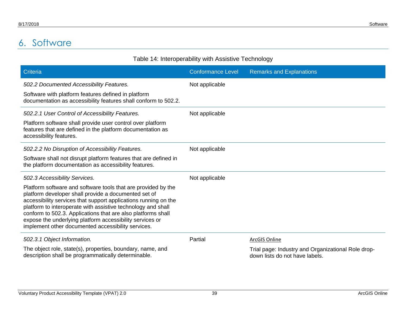## 6. Software

<span id="page-41-0"></span>

| Table 14: Interoperability with Assistive Technology                                                                                                                                                                                                                                                                                                                                                                                                                        |                          |                                                    |
|-----------------------------------------------------------------------------------------------------------------------------------------------------------------------------------------------------------------------------------------------------------------------------------------------------------------------------------------------------------------------------------------------------------------------------------------------------------------------------|--------------------------|----------------------------------------------------|
| <b>Criteria</b>                                                                                                                                                                                                                                                                                                                                                                                                                                                             | <b>Conformance Level</b> | <b>Remarks and Explanations</b>                    |
| 502.2 Documented Accessibility Features.                                                                                                                                                                                                                                                                                                                                                                                                                                    | Not applicable           |                                                    |
| Software with platform features defined in platform<br>documentation as accessibility features shall conform to 502.2.                                                                                                                                                                                                                                                                                                                                                      |                          |                                                    |
| 502.2.1 User Control of Accessibility Features.                                                                                                                                                                                                                                                                                                                                                                                                                             | Not applicable           |                                                    |
| Platform software shall provide user control over platform<br>features that are defined in the platform documentation as<br>accessibility features.                                                                                                                                                                                                                                                                                                                         |                          |                                                    |
| 502.2.2 No Disruption of Accessibility Features.                                                                                                                                                                                                                                                                                                                                                                                                                            | Not applicable           |                                                    |
| Software shall not disrupt platform features that are defined in<br>the platform documentation as accessibility features.                                                                                                                                                                                                                                                                                                                                                   |                          |                                                    |
| 502.3 Accessibility Services.<br>Platform software and software tools that are provided by the<br>platform developer shall provide a documented set of<br>accessibility services that support applications running on the<br>platform to interoperate with assistive technology and shall<br>conform to 502.3. Applications that are also platforms shall<br>expose the underlying platform accessibility services or<br>implement other documented accessibility services. | Not applicable           |                                                    |
| 502.3.1 Object Information.                                                                                                                                                                                                                                                                                                                                                                                                                                                 | Partial                  | <b>ArcGIS Online</b>                               |
| The object role, state(s), properties, boundary, name, and                                                                                                                                                                                                                                                                                                                                                                                                                  |                          | Trial page: Industry and Organizational Role drop- |

description shall be programmatically determinable.

down lists do not have labels.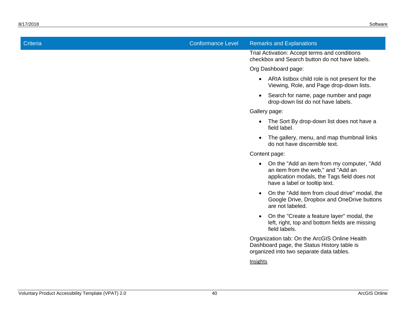| <b>Criteria</b> | <b>Conformance Level</b> | <b>Remarks and Explanations</b>                                                                                                                                     |
|-----------------|--------------------------|---------------------------------------------------------------------------------------------------------------------------------------------------------------------|
|                 |                          | Trial Activation: Accept terms and conditions<br>checkbox and Search button do not have labels.                                                                     |
|                 |                          | Org Dashboard page:                                                                                                                                                 |
|                 |                          | • ARIA listbox child role is not present for the<br>Viewing, Role, and Page drop-down lists.                                                                        |
|                 |                          | Search for name, page number and page<br>$\bullet$<br>drop-down list do not have labels.                                                                            |
|                 |                          | Gallery page:                                                                                                                                                       |
|                 |                          | • The Sort By drop-down list does not have a<br>field label.                                                                                                        |
|                 |                          | The gallery, menu, and map thumbnail links<br>$\bullet$<br>do not have discernible text.                                                                            |
|                 |                          | Content page:                                                                                                                                                       |
|                 |                          | • On the "Add an item from my computer, "Add"<br>an item from the web," and "Add an<br>application modals, the Tags field does not<br>have a label or tooltip text. |
|                 |                          | On the "Add item from cloud drive" modal, the<br>$\bullet$<br>Google Drive, Dropbox and OneDrive buttons<br>are not labeled.                                        |
|                 |                          | On the "Create a feature layer" modal, the<br>$\bullet$<br>left, right, top and bottom fields are missing<br>field labels.                                          |
|                 |                          | Organization tab: On the ArcGIS Online Health<br>Dashboard page, the Status History table is<br>organized into two separate data tables.                            |
|                 |                          | Insights                                                                                                                                                            |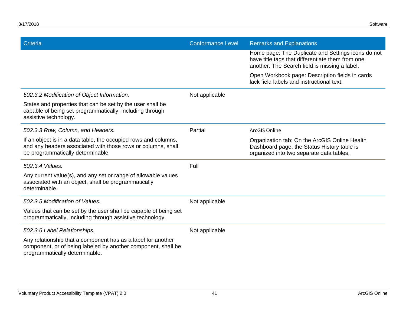| Criteria                                                                                                                                                             | <b>Conformance Level</b> | <b>Remarks and Explanations</b>                                                                                                                         |
|----------------------------------------------------------------------------------------------------------------------------------------------------------------------|--------------------------|---------------------------------------------------------------------------------------------------------------------------------------------------------|
|                                                                                                                                                                      |                          | Home page: The Duplicate and Settings icons do not<br>have title tags that differentiate them from one<br>another. The Search field is missing a label. |
|                                                                                                                                                                      |                          | Open Workbook page: Description fields in cards<br>lack field labels and instructional text.                                                            |
| 502.3.2 Modification of Object Information.                                                                                                                          | Not applicable           |                                                                                                                                                         |
| States and properties that can be set by the user shall be<br>capable of being set programmatically, including through<br>assistive technology.                      |                          |                                                                                                                                                         |
| 502.3.3 Row, Column, and Headers.                                                                                                                                    | Partial                  | <b>ArcGIS Online</b>                                                                                                                                    |
| If an object is in a data table, the occupied rows and columns,<br>and any headers associated with those rows or columns, shall<br>be programmatically determinable. |                          | Organization tab: On the ArcGIS Online Health<br>Dashboard page, the Status History table is<br>organized into two separate data tables.                |
| 502.3.4 Values.                                                                                                                                                      | Full                     |                                                                                                                                                         |
| Any current value(s), and any set or range of allowable values<br>associated with an object, shall be programmatically<br>determinable.                              |                          |                                                                                                                                                         |
| 502.3.5 Modification of Values.                                                                                                                                      | Not applicable           |                                                                                                                                                         |
| Values that can be set by the user shall be capable of being set<br>programmatically, including through assistive technology.                                        |                          |                                                                                                                                                         |
| 502.3.6 Label Relationships.                                                                                                                                         | Not applicable           |                                                                                                                                                         |
| Any relationship that a component has as a label for another<br>component, or of being labeled by another component, shall be<br>programmatically determinable.      |                          |                                                                                                                                                         |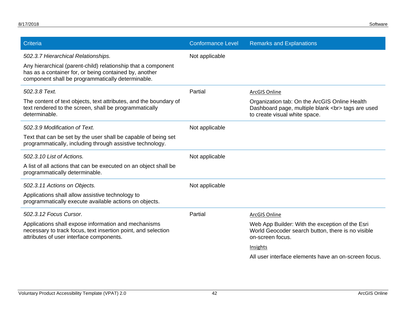| Criteria                                                                                                                                                                     | <b>Conformance Level</b> | <b>Remarks and Explanations</b>                                                                                                   |
|------------------------------------------------------------------------------------------------------------------------------------------------------------------------------|--------------------------|-----------------------------------------------------------------------------------------------------------------------------------|
| 502.3.7 Hierarchical Relationships.                                                                                                                                          | Not applicable           |                                                                                                                                   |
| Any hierarchical (parent-child) relationship that a component<br>has as a container for, or being contained by, another<br>component shall be programmatically determinable. |                          |                                                                                                                                   |
| 502.3.8 Text.                                                                                                                                                                | Partial                  | ArcGIS Online                                                                                                                     |
| The content of text objects, text attributes, and the boundary of<br>text rendered to the screen, shall be programmatically<br>determinable.                                 |                          | Organization tab: On the ArcGIS Online Health<br>Dashboard page, multiple blank<br>tags are used<br>to create visual white space. |
| 502.3.9 Modification of Text.                                                                                                                                                | Not applicable           |                                                                                                                                   |
| Text that can be set by the user shall be capable of being set<br>programmatically, including through assistive technology.                                                  |                          |                                                                                                                                   |
| 502.3.10 List of Actions.                                                                                                                                                    | Not applicable           |                                                                                                                                   |
| A list of all actions that can be executed on an object shall be<br>programmatically determinable.                                                                           |                          |                                                                                                                                   |
| 502.3.11 Actions on Objects.                                                                                                                                                 | Not applicable           |                                                                                                                                   |
| Applications shall allow assistive technology to<br>programmatically execute available actions on objects.                                                                   |                          |                                                                                                                                   |
| 502.3.12 Focus Cursor.                                                                                                                                                       | Partial                  | ArcGIS Online                                                                                                                     |
| Applications shall expose information and mechanisms<br>necessary to track focus, text insertion point, and selection<br>attributes of user interface components.            |                          | Web App Builder: With the exception of the Esri<br>World Geocoder search button, there is no visible<br>on-screen focus.          |
|                                                                                                                                                                              |                          | Insights                                                                                                                          |
|                                                                                                                                                                              |                          | All user interface elements have an on-screen focus.                                                                              |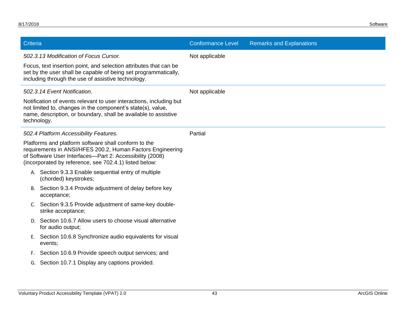| Criteria    |                                                                                                                                                                                                                                          | <b>Conformance Level</b> | <b>Remarks and Explanations</b> |
|-------------|------------------------------------------------------------------------------------------------------------------------------------------------------------------------------------------------------------------------------------------|--------------------------|---------------------------------|
|             | 502.3.13 Modification of Focus Cursor.                                                                                                                                                                                                   | Not applicable           |                                 |
|             | Focus, text insertion point, and selection attributes that can be<br>set by the user shall be capable of being set programmatically,<br>including through the use of assistive technology.                                               |                          |                                 |
|             | 502.3.14 Event Notification.                                                                                                                                                                                                             | Not applicable           |                                 |
| technology. | Notification of events relevant to user interactions, including but<br>not limited to, changes in the component's state(s), value,<br>name, description, or boundary, shall be available to assistive                                    |                          |                                 |
|             | 502.4 Platform Accessibility Features.                                                                                                                                                                                                   | Partial                  |                                 |
|             | Platforms and platform software shall conform to the<br>requirements in ANSI/HFES 200.2, Human Factors Engineering<br>of Software User Interfaces-Part 2: Accessibility (2008)<br>(incorporated by reference, see 702.4.1) listed below: |                          |                                 |
|             | A. Section 9.3.3 Enable sequential entry of multiple<br>(chorded) keystrokes;                                                                                                                                                            |                          |                                 |
|             | B. Section 9.3.4 Provide adjustment of delay before key<br>acceptance;                                                                                                                                                                   |                          |                                 |
|             | C. Section 9.3.5 Provide adjustment of same-key double-<br>strike acceptance;                                                                                                                                                            |                          |                                 |
|             | D. Section 10.6.7 Allow users to choose visual alternative<br>for audio output;                                                                                                                                                          |                          |                                 |
|             | E. Section 10.6.8 Synchronize audio equivalents for visual<br>events;                                                                                                                                                                    |                          |                                 |
| F.          | Section 10.6.9 Provide speech output services; and                                                                                                                                                                                       |                          |                                 |
|             | G. Section 10.7.1 Display any captions provided.                                                                                                                                                                                         |                          |                                 |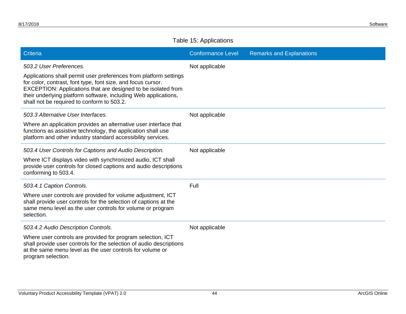#### Table 15: Applications

| Criteria                                                                                                                                                                                                                                                                                                            | <b>Conformance Level</b> | <b>Remarks and Explanations</b> |
|---------------------------------------------------------------------------------------------------------------------------------------------------------------------------------------------------------------------------------------------------------------------------------------------------------------------|--------------------------|---------------------------------|
| 503.2 User Preferences.                                                                                                                                                                                                                                                                                             | Not applicable           |                                 |
| Applications shall permit user preferences from platform settings<br>for color, contrast, font type, font size, and focus cursor.<br>EXCEPTION: Applications that are designed to be isolated from<br>their underlying platform software, including Web applications,<br>shall not be required to conform to 503.2. |                          |                                 |
| 503.3 Alternative User Interfaces.                                                                                                                                                                                                                                                                                  | Not applicable           |                                 |
| Where an application provides an alternative user interface that<br>functions as assistive technology, the application shall use<br>platform and other industry standard accessibility services.                                                                                                                    |                          |                                 |
| 503.4 User Controls for Captions and Audio Description.                                                                                                                                                                                                                                                             | Not applicable           |                                 |
| Where ICT displays video with synchronized audio, ICT shall<br>provide user controls for closed captions and audio descriptions<br>conforming to 503.4.                                                                                                                                                             |                          |                                 |
| 503.4.1 Caption Controls.                                                                                                                                                                                                                                                                                           | Full                     |                                 |
| Where user controls are provided for volume adjustment, ICT<br>shall provide user controls for the selection of captions at the<br>same menu level as the user controls for volume or program<br>selection.                                                                                                         |                          |                                 |
| 503.4.2 Audio Description Controls.                                                                                                                                                                                                                                                                                 | Not applicable           |                                 |
| Where user controls are provided for program selection, ICT<br>shall provide user controls for the selection of audio descriptions<br>at the same menu level as the user controls for volume or<br>program selection.                                                                                               |                          |                                 |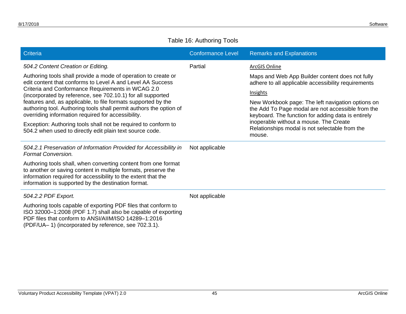#### Table 16: Authoring Tools

| Criteria                                                                                                                                                                                                                                                 | <b>Conformance Level</b> | <b>Remarks and Explanations</b>                                                                                                                              |
|----------------------------------------------------------------------------------------------------------------------------------------------------------------------------------------------------------------------------------------------------------|--------------------------|--------------------------------------------------------------------------------------------------------------------------------------------------------------|
| 504.2 Content Creation or Editing.                                                                                                                                                                                                                       | Partial                  | <b>ArcGIS Online</b>                                                                                                                                         |
| Authoring tools shall provide a mode of operation to create or<br>edit content that conforms to Level A and Level AA Success                                                                                                                             |                          | Maps and Web App Builder content does not fully<br>adhere to all applicable accessibility requirements                                                       |
| Criteria and Conformance Requirements in WCAG 2.0<br>(incorporated by reference, see 702.10.1) for all supported                                                                                                                                         |                          | Insights                                                                                                                                                     |
| features and, as applicable, to file formats supported by the<br>authoring tool. Authoring tools shall permit authors the option of<br>overriding information required for accessibility.                                                                |                          | New Workbook page: The left navigation options on<br>the Add To Page modal are not accessible from the<br>keyboard. The function for adding data is entirely |
| Exception: Authoring tools shall not be required to conform to<br>504.2 when used to directly edit plain text source code.                                                                                                                               |                          | inoperable without a mouse. The Create<br>Relationships modal is not selectable from the<br>mouse.                                                           |
| 504.2.1 Preservation of Information Provided for Accessibility in<br><b>Format Conversion.</b>                                                                                                                                                           | Not applicable           |                                                                                                                                                              |
| Authoring tools shall, when converting content from one format<br>to another or saving content in multiple formats, preserve the<br>information required for accessibility to the extent that the<br>information is supported by the destination format. |                          |                                                                                                                                                              |
| 504.2.2 PDF Export.                                                                                                                                                                                                                                      | Not applicable           |                                                                                                                                                              |
| Authoring tools capable of exporting PDF files that conform to<br>ISO 32000-1:2008 (PDF 1.7) shall also be capable of exporting<br>PDF files that conform to ANSI/AIIM/ISO 14289-1:2016<br>(PDF/UA–1) (incorporated by reference, see 702.3.1).          |                          |                                                                                                                                                              |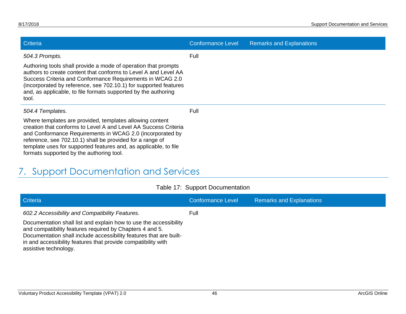| <b>Criteria</b>                                                                                                                                                                                                                                                                                                                                                       | <b>Conformance Level</b> | <b>Remarks and Explanations</b> |
|-----------------------------------------------------------------------------------------------------------------------------------------------------------------------------------------------------------------------------------------------------------------------------------------------------------------------------------------------------------------------|--------------------------|---------------------------------|
| 504.3 Prompts.                                                                                                                                                                                                                                                                                                                                                        | Full                     |                                 |
| Authoring tools shall provide a mode of operation that prompts<br>authors to create content that conforms to Level A and Level AA<br>Success Criteria and Conformance Requirements in WCAG 2.0<br>(incorporated by reference, see 702.10.1) for supported features<br>and, as applicable, to file formats supported by the authoring<br>tool.                         |                          |                                 |
| 504.4 Templates.                                                                                                                                                                                                                                                                                                                                                      | Full                     |                                 |
| Where templates are provided, templates allowing content<br>creation that conforms to Level A and Level AA Success Criteria<br>and Conformance Requirements in WCAG 2.0 (incorporated by<br>reference, see 702.10.1) shall be provided for a range of<br>template uses for supported features and, as applicable, to file<br>formats supported by the authoring tool. |                          |                                 |

# 7. Support Documentation and Services

<span id="page-48-0"></span>

| Criteria                                                                                                                                                                                                                                                                                      | <b>Conformance Level</b> | <b>Remarks and Explanations</b> |
|-----------------------------------------------------------------------------------------------------------------------------------------------------------------------------------------------------------------------------------------------------------------------------------------------|--------------------------|---------------------------------|
| 602.2 Accessibility and Compatibility Features.                                                                                                                                                                                                                                               | Full                     |                                 |
| Documentation shall list and explain how to use the accessibility<br>and compatibility features required by Chapters 4 and 5.<br>Documentation shall include accessibility features that are built-<br>in and accessibility features that provide compatibility with<br>assistive technology. |                          |                                 |

#### Table 17: Support Documentation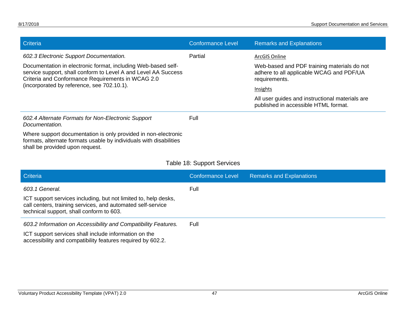| Criteria                                                                                                                                                                             | <b>Conformance Level</b>   | <b>Remarks and Explanations</b>                                                                          |
|--------------------------------------------------------------------------------------------------------------------------------------------------------------------------------------|----------------------------|----------------------------------------------------------------------------------------------------------|
| 602.3 Electronic Support Documentation.                                                                                                                                              | Partial                    | ArcGIS Online                                                                                            |
| Documentation in electronic format, including Web-based self-<br>service support, shall conform to Level A and Level AA Success<br>Criteria and Conformance Requirements in WCAG 2.0 |                            | Web-based and PDF training materials do not<br>adhere to all applicable WCAG and PDF/UA<br>requirements. |
| (incorporated by reference, see 702.10.1).                                                                                                                                           |                            | Insights                                                                                                 |
|                                                                                                                                                                                      |                            | All user guides and instructional materials are<br>published in accessible HTML format.                  |
| 602.4 Alternate Formats for Non-Electronic Support<br>Documentation.                                                                                                                 | Full                       |                                                                                                          |
| Where support documentation is only provided in non-electronic<br>formats, alternate formats usable by individuals with disabilities<br>shall be provided upon request.              |                            |                                                                                                          |
|                                                                                                                                                                                      | Table 18: Support Services |                                                                                                          |
| Criteria                                                                                                                                                                             | <b>Conformance Level</b>   | <b>Remarks and Explanations</b>                                                                          |
| 603.1 General.                                                                                                                                                                       | Full                       |                                                                                                          |
| ICT support services including, but not limited to, help desks,<br>call centers, training services, and automated self-service<br>technical support, shall conform to 603.           |                            |                                                                                                          |
| 603.2 Information on Accessibility and Compatibility Features.                                                                                                                       | Full                       |                                                                                                          |
| ICT support services shall include information on the<br>accessibility and compatibility features required by 602.2.                                                                 |                            |                                                                                                          |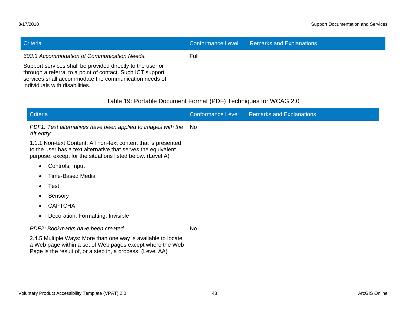| Criteria                                                                                                                                                                                                                                                           | <b>Conformance Level</b> | <b>Remarks and Explanations</b> |
|--------------------------------------------------------------------------------------------------------------------------------------------------------------------------------------------------------------------------------------------------------------------|--------------------------|---------------------------------|
| 603.3 Accommodation of Communication Needs.<br>Support services shall be provided directly to the user or<br>through a referral to a point of contact. Such ICT support<br>services shall accommodate the communication needs of<br>individuals with disabilities. | Full                     |                                 |
| Table 19: Portable Document Format (PDF) Techniques for WCAG 2.0                                                                                                                                                                                                   |                          |                                 |
|                                                                                                                                                                                                                                                                    |                          |                                 |

| Criteria                                                                                                                                                                                      | <b>Conformance Level</b> | <b>Remarks and Explanations</b> |
|-----------------------------------------------------------------------------------------------------------------------------------------------------------------------------------------------|--------------------------|---------------------------------|
| PDF1: Text alternatives have been applied to images with the<br>Alt entry                                                                                                                     | No.                      |                                 |
| 1.1.1 Non-text Content: All non-text content that is presented<br>to the user has a text alternative that serves the equivalent<br>purpose, except for the situations listed below. (Level A) |                          |                                 |
| Controls, Input<br>$\bullet$                                                                                                                                                                  |                          |                                 |
| Time-Based Media<br>٠                                                                                                                                                                         |                          |                                 |
| Test<br>$\bullet$                                                                                                                                                                             |                          |                                 |
| Sensory<br>٠                                                                                                                                                                                  |                          |                                 |
| <b>CAPTCHA</b><br>$\bullet$                                                                                                                                                                   |                          |                                 |
| Decoration, Formatting, Invisible<br>$\bullet$                                                                                                                                                |                          |                                 |
| PDF2: Bookmarks have been created                                                                                                                                                             | <b>No</b>                |                                 |
| 2.4.5 Multiple Ways: More than one way is available to locate<br>a Web page within a set of Web pages except where the Web<br>Page is the result of, or a step in, a process. (Level AA)      |                          |                                 |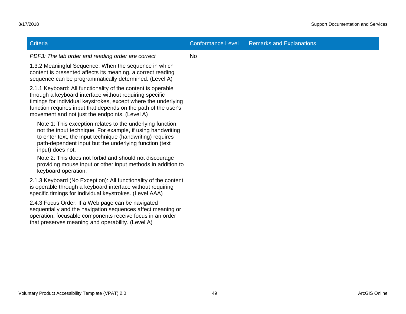| Criteria                                                                                                                                                                                                                                                                                                      | <b>Conformance Level</b> | <b>Remarks and Explanations</b> |
|---------------------------------------------------------------------------------------------------------------------------------------------------------------------------------------------------------------------------------------------------------------------------------------------------------------|--------------------------|---------------------------------|
| PDF3: The tab order and reading order are correct                                                                                                                                                                                                                                                             | <b>No</b>                |                                 |
| 1.3.2 Meaningful Sequence: When the sequence in which<br>content is presented affects its meaning, a correct reading<br>sequence can be programmatically determined. (Level A)                                                                                                                                |                          |                                 |
| 2.1.1 Keyboard: All functionality of the content is operable<br>through a keyboard interface without requiring specific<br>timings for individual keystrokes, except where the underlying<br>function requires input that depends on the path of the user's<br>movement and not just the endpoints. (Level A) |                          |                                 |
| Note 1: This exception relates to the underlying function,<br>not the input technique. For example, if using handwriting<br>to enter text, the input technique (handwriting) requires<br>path-dependent input but the underlying function (text<br>input) does not.                                           |                          |                                 |
| Note 2: This does not forbid and should not discourage<br>providing mouse input or other input methods in addition to<br>keyboard operation.                                                                                                                                                                  |                          |                                 |
| 2.1.3 Keyboard (No Exception): All functionality of the content<br>is operable through a keyboard interface without requiring<br>specific timings for individual keystrokes. (Level AAA)                                                                                                                      |                          |                                 |
| 2.4.3 Focus Order: If a Web page can be navigated<br>sequentially and the navigation sequences affect meaning or<br>operation, focusable components receive focus in an order<br>that preserves meaning and operability. (Level A)                                                                            |                          |                                 |
|                                                                                                                                                                                                                                                                                                               |                          |                                 |
|                                                                                                                                                                                                                                                                                                               |                          |                                 |
|                                                                                                                                                                                                                                                                                                               |                          |                                 |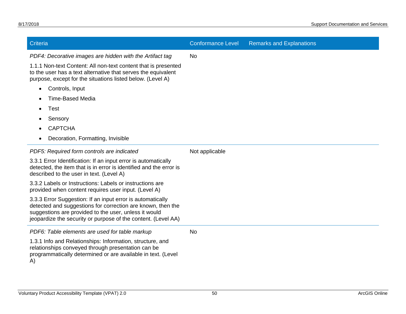| Criteria                                                                                                                                                                                                                                            | <b>Conformance Level</b> | <b>Remarks and Explanations</b> |
|-----------------------------------------------------------------------------------------------------------------------------------------------------------------------------------------------------------------------------------------------------|--------------------------|---------------------------------|
| PDF4: Decorative images are hidden with the Artifact tag                                                                                                                                                                                            | N <sub>o</sub>           |                                 |
| 1.1.1 Non-text Content: All non-text content that is presented<br>to the user has a text alternative that serves the equivalent<br>purpose, except for the situations listed below. (Level A)                                                       |                          |                                 |
| Controls, Input<br>$\bullet$                                                                                                                                                                                                                        |                          |                                 |
| <b>Time-Based Media</b><br>$\bullet$                                                                                                                                                                                                                |                          |                                 |
| Test                                                                                                                                                                                                                                                |                          |                                 |
| Sensory                                                                                                                                                                                                                                             |                          |                                 |
| <b>CAPTCHA</b>                                                                                                                                                                                                                                      |                          |                                 |
| Decoration, Formatting, Invisible<br>$\bullet$                                                                                                                                                                                                      |                          |                                 |
| PDF5: Required form controls are indicated                                                                                                                                                                                                          | Not applicable           |                                 |
| 3.3.1 Error Identification: If an input error is automatically<br>detected, the item that is in error is identified and the error is<br>described to the user in text. (Level A)                                                                    |                          |                                 |
| 3.3.2 Labels or Instructions: Labels or instructions are<br>provided when content requires user input. (Level A)                                                                                                                                    |                          |                                 |
| 3.3.3 Error Suggestion: If an input error is automatically<br>detected and suggestions for correction are known, then the<br>suggestions are provided to the user, unless it would<br>jeopardize the security or purpose of the content. (Level AA) |                          |                                 |
| PDF6: Table elements are used for table markup                                                                                                                                                                                                      | <b>No</b>                |                                 |
| 1.3.1 Info and Relationships: Information, structure, and<br>relationships conveyed through presentation can be<br>programmatically determined or are available in text. (Level<br>A)                                                               |                          |                                 |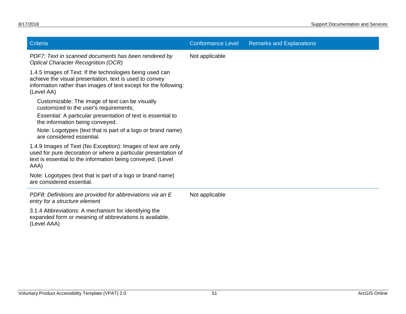| Criteria                                                                                                                                                                                              | <b>Conformance Level</b> | <b>Remarks and Explanations</b> |
|-------------------------------------------------------------------------------------------------------------------------------------------------------------------------------------------------------|--------------------------|---------------------------------|
| PDF7: Text in scanned documents has been rendered by<br><b>Optical Character Recognition (OCR)</b>                                                                                                    | Not applicable           |                                 |
| 1.4.5 Images of Text: If the technologies being used can<br>achieve the visual presentation, text is used to convey<br>information rather than images of text except for the following:<br>(Level AA) |                          |                                 |
| Customizable: The image of text can be visually<br>customized to the user's requirements;                                                                                                             |                          |                                 |
| Essential: A particular presentation of text is essential to<br>the information being conveyed.                                                                                                       |                          |                                 |
| Note: Logotypes (text that is part of a logo or brand name)<br>are considered essential.                                                                                                              |                          |                                 |
| 1.4.9 Images of Text (No Exception): Images of text are only<br>used for pure decoration or where a particular presentation of<br>text is essential to the information being conveyed. (Level<br>AAA) |                          |                                 |
| Note: Logotypes (text that is part of a logo or brand name)<br>are considered essential.                                                                                                              |                          |                                 |
| PDF8: Definitions are provided for abbreviations via an E<br>entry for a structure element                                                                                                            | Not applicable           |                                 |
| 3.1.4 Abbreviations: A mechanism for identifying the<br>expanded form or meaning of abbreviations is available.<br>(Level AAA)                                                                        |                          |                                 |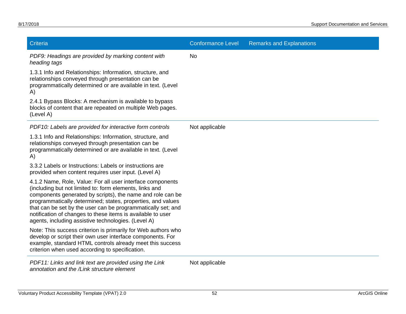| Criteria                                                                                                                                                                                                                                                                                                                                                                                                                                 | <b>Conformance Level</b> | <b>Remarks and Explanations</b> |
|------------------------------------------------------------------------------------------------------------------------------------------------------------------------------------------------------------------------------------------------------------------------------------------------------------------------------------------------------------------------------------------------------------------------------------------|--------------------------|---------------------------------|
| PDF9: Headings are provided by marking content with<br>heading tags                                                                                                                                                                                                                                                                                                                                                                      | No                       |                                 |
| 1.3.1 Info and Relationships: Information, structure, and<br>relationships conveyed through presentation can be<br>programmatically determined or are available in text. (Level<br>A)                                                                                                                                                                                                                                                    |                          |                                 |
| 2.4.1 Bypass Blocks: A mechanism is available to bypass<br>blocks of content that are repeated on multiple Web pages.<br>(Level A)                                                                                                                                                                                                                                                                                                       |                          |                                 |
| PDF10: Labels are provided for interactive form controls                                                                                                                                                                                                                                                                                                                                                                                 | Not applicable           |                                 |
| 1.3.1 Info and Relationships: Information, structure, and<br>relationships conveyed through presentation can be<br>programmatically determined or are available in text. (Level<br>A)                                                                                                                                                                                                                                                    |                          |                                 |
| 3.3.2 Labels or Instructions: Labels or instructions are<br>provided when content requires user input. (Level A)                                                                                                                                                                                                                                                                                                                         |                          |                                 |
| 4.1.2 Name, Role, Value: For all user interface components<br>(including but not limited to: form elements, links and<br>components generated by scripts), the name and role can be<br>programmatically determined; states, properties, and values<br>that can be set by the user can be programmatically set; and<br>notification of changes to these items is available to user<br>agents, including assistive technologies. (Level A) |                          |                                 |
| Note: This success criterion is primarily for Web authors who<br>develop or script their own user interface components. For<br>example, standard HTML controls already meet this success<br>criterion when used according to specification.                                                                                                                                                                                              |                          |                                 |
| PDF11: Links and link text are provided using the Link<br>annotation and the /Link structure element                                                                                                                                                                                                                                                                                                                                     | Not applicable           |                                 |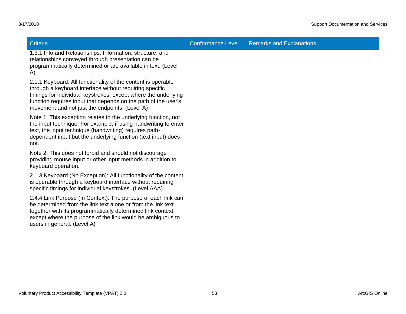Criteria Conformance Level Remarks and Explanations

1.3.1 Info and Relationships: Information, structure, and relationships conveyed through presentation can be programmatically determined or are available in text. (Level A)

2.1.1 Keyboard: All functionality of the content is operable through a keyboard interface without requiring specific timings for individual keystrokes, except where the underlying function requires input that depends on the path of the user's movement and not just the endpoints. (Level A)

Note 1: This exception relates to the underlying function, not the input technique. For example, if using handwriting to enter text, the input technique (handwriting) requires pathdependent input but the underlying function (text input) does not.

Note 2: This does not forbid and should not discourage providing mouse input or other input methods in addition to keyboard operation.

2.1.3 Keyboard (No Exception): All functionality of the content is operable through a keyboard interface without requiring specific timings for individual keystrokes. (Level AAA)

2.4.4 Link Purpose (In Context): The purpose of each link can be determined from the link text alone or from the link text together with its programmatically determined link context, except where the purpose of the link would be ambiguous to users in general. (Level A)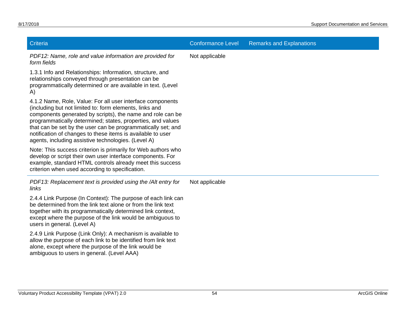| Criteria                                                                                                                                                                                                                                                                                                                                                                                                                                 | <b>Conformance Level</b> | <b>Remarks and Explanations</b> |
|------------------------------------------------------------------------------------------------------------------------------------------------------------------------------------------------------------------------------------------------------------------------------------------------------------------------------------------------------------------------------------------------------------------------------------------|--------------------------|---------------------------------|
| PDF12: Name, role and value information are provided for<br>form fields                                                                                                                                                                                                                                                                                                                                                                  | Not applicable           |                                 |
| 1.3.1 Info and Relationships: Information, structure, and<br>relationships conveyed through presentation can be<br>programmatically determined or are available in text. (Level<br>A)                                                                                                                                                                                                                                                    |                          |                                 |
| 4.1.2 Name, Role, Value: For all user interface components<br>(including but not limited to: form elements, links and<br>components generated by scripts), the name and role can be<br>programmatically determined; states, properties, and values<br>that can be set by the user can be programmatically set; and<br>notification of changes to these items is available to user<br>agents, including assistive technologies. (Level A) |                          |                                 |
| Note: This success criterion is primarily for Web authors who<br>develop or script their own user interface components. For<br>example, standard HTML controls already meet this success<br>criterion when used according to specification.                                                                                                                                                                                              |                          |                                 |
| PDF13: Replacement text is provided using the /Alt entry for<br>links                                                                                                                                                                                                                                                                                                                                                                    | Not applicable           |                                 |
| 2.4.4 Link Purpose (In Context): The purpose of each link can<br>be determined from the link text alone or from the link text<br>together with its programmatically determined link context,<br>except where the purpose of the link would be ambiguous to<br>users in general. (Level A)                                                                                                                                                |                          |                                 |
| 2.4.9 Link Purpose (Link Only): A mechanism is available to<br>allow the purpose of each link to be identified from link text<br>alone, except where the purpose of the link would be<br>ambiguous to users in general. (Level AAA)                                                                                                                                                                                                      |                          |                                 |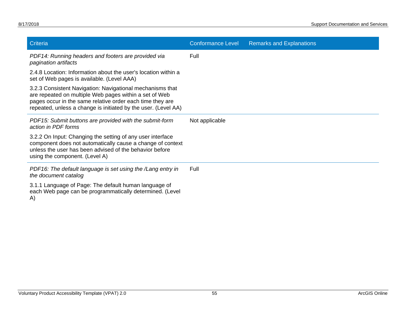| Criteria                                                                                                                                                                                                                                           | <b>Conformance Level</b> | <b>Remarks and Explanations</b> |
|----------------------------------------------------------------------------------------------------------------------------------------------------------------------------------------------------------------------------------------------------|--------------------------|---------------------------------|
| PDF14: Running headers and footers are provided via<br>pagination artifacts                                                                                                                                                                        | Full                     |                                 |
| 2.4.8 Location: Information about the user's location within a<br>set of Web pages is available. (Level AAA)                                                                                                                                       |                          |                                 |
| 3.2.3 Consistent Navigation: Navigational mechanisms that<br>are repeated on multiple Web pages within a set of Web<br>pages occur in the same relative order each time they are<br>repeated, unless a change is initiated by the user. (Level AA) |                          |                                 |
| PDF15: Submit buttons are provided with the submit-form<br>action in PDF forms                                                                                                                                                                     | Not applicable           |                                 |
| 3.2.2 On Input: Changing the setting of any user interface<br>component does not automatically cause a change of context<br>unless the user has been advised of the behavior before<br>using the component. (Level A)                              |                          |                                 |
| PDF16: The default language is set using the /Lang entry in<br>the document catalog                                                                                                                                                                | Full                     |                                 |
| 3.1.1 Language of Page: The default human language of<br>each Web page can be programmatically determined. (Level<br>A)                                                                                                                            |                          |                                 |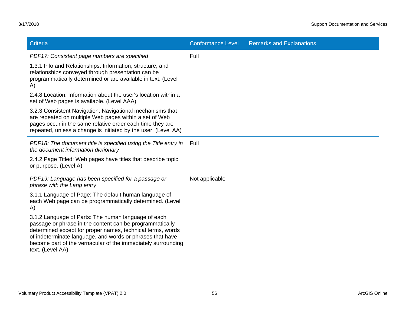| Criteria                                                                                                                                                                                                                                                                                                                       | <b>Conformance Level</b> | <b>Remarks and Explanations</b> |
|--------------------------------------------------------------------------------------------------------------------------------------------------------------------------------------------------------------------------------------------------------------------------------------------------------------------------------|--------------------------|---------------------------------|
| PDF17: Consistent page numbers are specified                                                                                                                                                                                                                                                                                   | Full                     |                                 |
| 1.3.1 Info and Relationships: Information, structure, and<br>relationships conveyed through presentation can be<br>programmatically determined or are available in text. (Level<br>A)                                                                                                                                          |                          |                                 |
| 2.4.8 Location: Information about the user's location within a<br>set of Web pages is available. (Level AAA)                                                                                                                                                                                                                   |                          |                                 |
| 3.2.3 Consistent Navigation: Navigational mechanisms that<br>are repeated on multiple Web pages within a set of Web<br>pages occur in the same relative order each time they are<br>repeated, unless a change is initiated by the user. (Level AA)                                                                             |                          |                                 |
| PDF18: The document title is specified using the Title entry in<br>the document information dictionary                                                                                                                                                                                                                         | Full                     |                                 |
| 2.4.2 Page Titled: Web pages have titles that describe topic<br>or purpose. (Level A)                                                                                                                                                                                                                                          |                          |                                 |
| PDF19: Language has been specified for a passage or<br>phrase with the Lang entry                                                                                                                                                                                                                                              | Not applicable           |                                 |
| 3.1.1 Language of Page: The default human language of<br>each Web page can be programmatically determined. (Level<br>A)                                                                                                                                                                                                        |                          |                                 |
| 3.1.2 Language of Parts: The human language of each<br>passage or phrase in the content can be programmatically<br>determined except for proper names, technical terms, words<br>of indeterminate language, and words or phrases that have<br>become part of the vernacular of the immediately surrounding<br>text. (Level AA) |                          |                                 |